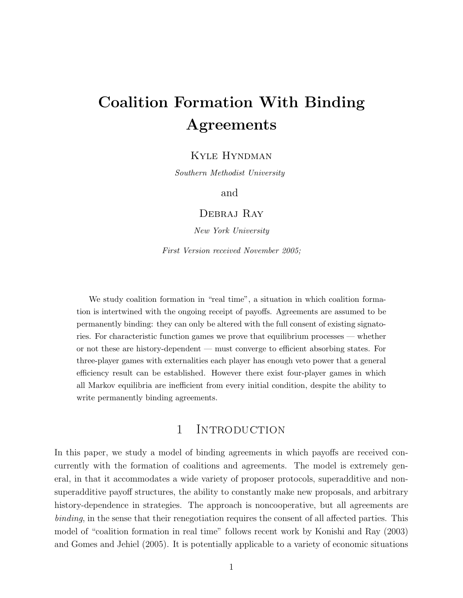# Coalition Formation With Binding Agreements

Kyle Hyndman

Southern Methodist University

and

Debraj Ray

New York University

First Version received November 2005;

We study coalition formation in "real time", a situation in which coalition formation is intertwined with the ongoing receipt of payoffs. Agreements are assumed to be permanently binding: they can only be altered with the full consent of existing signatories. For characteristic function games we prove that equilibrium processes — whether or not these are history-dependent — must converge to efficient absorbing states. For three-player games with externalities each player has enough veto power that a general efficiency result can be established. However there exist four-player games in which all Markov equilibria are inefficient from every initial condition, despite the ability to write permanently binding agreements.

## 1 INTRODUCTION

In this paper, we study a model of binding agreements in which payoffs are received concurrently with the formation of coalitions and agreements. The model is extremely general, in that it accommodates a wide variety of proposer protocols, superadditive and nonsuperadditive payoff structures, the ability to constantly make new proposals, and arbitrary history-dependence in strategies. The approach is noncooperative, but all agreements are binding, in the sense that their renegotiation requires the consent of all affected parties. This model of "coalition formation in real time" follows recent work by Konishi and Ray (2003) and Gomes and Jehiel (2005). It is potentially applicable to a variety of economic situations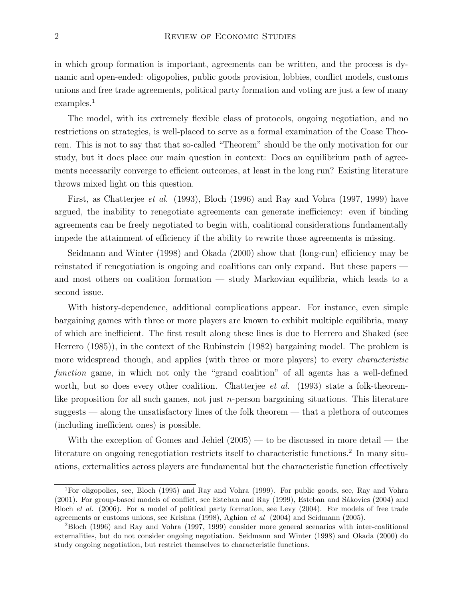in which group formation is important, agreements can be written, and the process is dynamic and open-ended: oligopolies, public goods provision, lobbies, conflict models, customs unions and free trade agreements, political party formation and voting are just a few of many examples.<sup>1</sup>

The model, with its extremely flexible class of protocols, ongoing negotiation, and no restrictions on strategies, is well-placed to serve as a formal examination of the Coase Theorem. This is not to say that that so-called "Theorem" should be the only motivation for our study, but it does place our main question in context: Does an equilibrium path of agreements necessarily converge to efficient outcomes, at least in the long run? Existing literature throws mixed light on this question.

First, as Chatterjee et al. (1993), Bloch (1996) and Ray and Vohra (1997, 1999) have argued, the inability to renegotiate agreements can generate inefficiency: even if binding agreements can be freely negotiated to begin with, coalitional considerations fundamentally impede the attainment of efficiency if the ability to rewrite those agreements is missing.

Seidmann and Winter (1998) and Okada (2000) show that (long-run) efficiency may be reinstated if renegotiation is ongoing and coalitions can only expand. But these papers and most others on coalition formation — study Markovian equilibria, which leads to a second issue.

With history-dependence, additional complications appear. For instance, even simple bargaining games with three or more players are known to exhibit multiple equilibria, many of which are inefficient. The first result along these lines is due to Herrero and Shaked (see Herrero (1985)), in the context of the Rubinstein (1982) bargaining model. The problem is more widespread though, and applies (with three or more players) to every *characteristic* function game, in which not only the "grand coalition" of all agents has a well-defined worth, but so does every other coalition. Chatterjee *et al.* (1993) state a folk-theoremlike proposition for all such games, not just n-person bargaining situations. This literature suggests — along the unsatisfactory lines of the folk theorem — that a plethora of outcomes (including inefficient ones) is possible.

With the exception of Gomes and Jehiel  $(2005)$  — to be discussed in more detail — the literature on ongoing renegotiation restricts itself to characteristic functions.<sup>2</sup> In many situations, externalities across players are fundamental but the characteristic function effectively

<sup>1</sup>For oligopolies, see, Bloch (1995) and Ray and Vohra (1999). For public goods, see, Ray and Vohra  $(2001)$ . For group-based models of conflict, see Esteban and Ray  $(1999)$ , Esteban and Sákovics  $(2004)$  and Bloch et al. (2006). For a model of political party formation, see Levy (2004). For models of free trade agreements or customs unions, see Krishna (1998), Aghion et al (2004) and Seidmann (2005).

<sup>2</sup>Bloch (1996) and Ray and Vohra (1997, 1999) consider more general scenarios with inter-coalitional externalities, but do not consider ongoing negotiation. Seidmann and Winter (1998) and Okada (2000) do study ongoing negotiation, but restrict themselves to characteristic functions.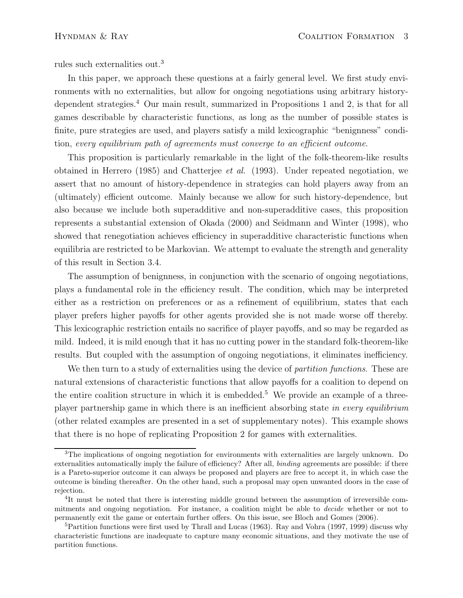rules such externalities out.<sup>3</sup>

In this paper, we approach these questions at a fairly general level. We first study environments with no externalities, but allow for ongoing negotiations using arbitrary historydependent strategies.<sup>4</sup> Our main result, summarized in Propositions 1 and 2, is that for all games describable by characteristic functions, as long as the number of possible states is finite, pure strategies are used, and players satisfy a mild lexicographic "benignness" condition, every equilibrium path of agreements must converge to an efficient outcome.

This proposition is particularly remarkable in the light of the folk-theorem-like results obtained in Herrero (1985) and Chatterjee et al. (1993). Under repeated negotiation, we assert that no amount of history-dependence in strategies can hold players away from an (ultimately) efficient outcome. Mainly because we allow for such history-dependence, but also because we include both superadditive and non-superadditive cases, this proposition represents a substantial extension of Okada (2000) and Seidmann and Winter (1998), who showed that renegotiation achieves efficiency in superadditive characteristic functions when equilibria are restricted to be Markovian. We attempt to evaluate the strength and generality of this result in Section 3.4.

The assumption of benignness, in conjunction with the scenario of ongoing negotiations, plays a fundamental role in the efficiency result. The condition, which may be interpreted either as a restriction on preferences or as a refinement of equilibrium, states that each player prefers higher payoffs for other agents provided she is not made worse off thereby. This lexicographic restriction entails no sacrifice of player payoffs, and so may be regarded as mild. Indeed, it is mild enough that it has no cutting power in the standard folk-theorem-like results. But coupled with the assumption of ongoing negotiations, it eliminates inefficiency.

We then turn to a study of externalities using the device of *partition functions*. These are natural extensions of characteristic functions that allow payoffs for a coalition to depend on the entire coalition structure in which it is embedded.<sup>5</sup> We provide an example of a threeplayer partnership game in which there is an inefficient absorbing state in every equilibrium (other related examples are presented in a set of supplementary notes). This example shows that there is no hope of replicating Proposition 2 for games with externalities.

<sup>&</sup>lt;sup>3</sup>The implications of ongoing negotiation for environments with externalities are largely unknown. Do externalities automatically imply the failure of efficiency? After all, binding agreements are possible: if there is a Pareto-superior outcome it can always be proposed and players are free to accept it, in which case the outcome is binding thereafter. On the other hand, such a proposal may open unwanted doors in the case of rejection.

<sup>&</sup>lt;sup>4</sup>It must be noted that there is interesting middle ground between the assumption of irreversible commitments and ongoing negotiation. For instance, a coalition might be able to decide whether or not to permanently exit the game or entertain further offers. On this issue, see Bloch and Gomes (2006).

<sup>&</sup>lt;sup>5</sup>Partition functions were first used by Thrall and Lucas (1963). Ray and Vohra (1997, 1999) discuss why characteristic functions are inadequate to capture many economic situations, and they motivate the use of partition functions.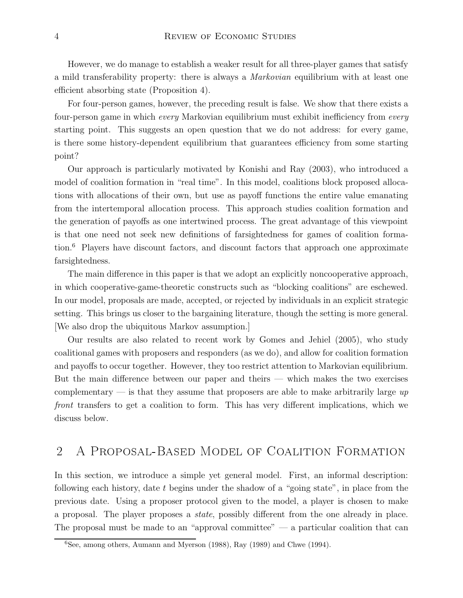However, we do manage to establish a weaker result for all three-player games that satisfy a mild transferability property: there is always a Markovian equilibrium with at least one efficient absorbing state (Proposition 4).

For four-person games, however, the preceding result is false. We show that there exists a four-person game in which every Markovian equilibrium must exhibit inefficiency from every starting point. This suggests an open question that we do not address: for every game, is there some history-dependent equilibrium that guarantees efficiency from some starting point?

Our approach is particularly motivated by Konishi and Ray (2003), who introduced a model of coalition formation in "real time". In this model, coalitions block proposed allocations with allocations of their own, but use as payoff functions the entire value emanating from the intertemporal allocation process. This approach studies coalition formation and the generation of payoffs as one intertwined process. The great advantage of this viewpoint is that one need not seek new definitions of farsightedness for games of coalition formation.<sup>6</sup> Players have discount factors, and discount factors that approach one approximate farsightedness.

The main difference in this paper is that we adopt an explicitly noncooperative approach, in which cooperative-game-theoretic constructs such as "blocking coalitions" are eschewed. In our model, proposals are made, accepted, or rejected by individuals in an explicit strategic setting. This brings us closer to the bargaining literature, though the setting is more general. [We also drop the ubiquitous Markov assumption.]

Our results are also related to recent work by Gomes and Jehiel (2005), who study coalitional games with proposers and responders (as we do), and allow for coalition formation and payoffs to occur together. However, they too restrict attention to Markovian equilibrium. But the main difference between our paper and theirs — which makes the two exercises complementary — is that they assume that proposers are able to make arbitrarily large  $up$ front transfers to get a coalition to form. This has very different implications, which we discuss below.

## 2 A Proposal-Based Model of Coalition Formation

In this section, we introduce a simple yet general model. First, an informal description: following each history, date t begins under the shadow of a "going state", in place from the previous date. Using a proposer protocol given to the model, a player is chosen to make a proposal. The player proposes a state, possibly different from the one already in place. The proposal must be made to an "approval committee" — a particular coalition that can

<sup>6</sup>See, among others, Aumann and Myerson (1988), Ray (1989) and Chwe (1994).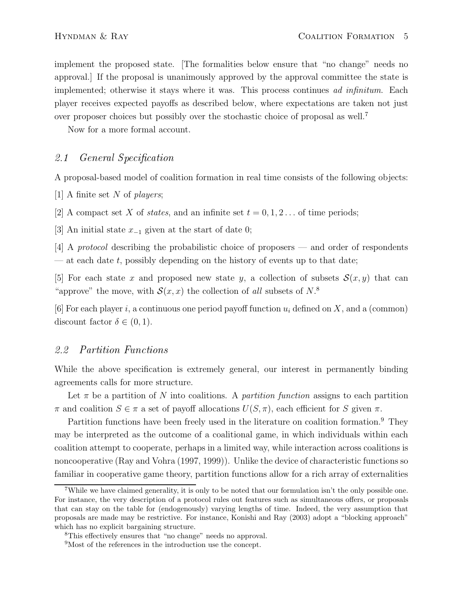implement the proposed state. [The formalities below ensure that "no change" needs no approval.] If the proposal is unanimously approved by the approval committee the state is implemented; otherwise it stays where it was. This process continues ad infinitum. Each player receives expected payoffs as described below, where expectations are taken not just over proposer choices but possibly over the stochastic choice of proposal as well.<sup>7</sup>

Now for a more formal account.

#### 2.1 General Specification

A proposal-based model of coalition formation in real time consists of the following objects:

[1] A finite set N of *players*;

[2] A compact set X of *states*, and an infinite set  $t = 0, 1, 2, \ldots$  of time periods;

[3] An initial state  $x_{-1}$  given at the start of date 0;

[4] A protocol describing the probabilistic choice of proposers — and order of respondents — at each date t, possibly depending on the history of events up to that date;

[5] For each state x and proposed new state y, a collection of subsets  $\mathcal{S}(x, y)$  that can "approve" the move, with  $\mathcal{S}(x, x)$  the collection of all subsets of N.<sup>8</sup>

[6] For each player i, a continuous one period payoff function  $u_i$  defined on X, and a (common) discount factor  $\delta \in (0,1)$ .

#### *Partition Functions*  $2.2$

While the above specification is extremely general, our interest in permanently binding agreements calls for more structure.

Let  $\pi$  be a partition of N into coalitions. A partition function assigns to each partition  $\pi$  and coalition  $S \in \pi$  a set of payoff allocations  $U(S, \pi)$ , each efficient for S given  $\pi$ .

Partition functions have been freely used in the literature on coalition formation.<sup>9</sup> They may be interpreted as the outcome of a coalitional game, in which individuals within each coalition attempt to cooperate, perhaps in a limited way, while interaction across coalitions is noncooperative (Ray and Vohra (1997, 1999)). Unlike the device of characteristic functions so familiar in cooperative game theory, partition functions allow for a rich array of externalities

<sup>7</sup>While we have claimed generality, it is only to be noted that our formulation isn't the only possible one. For instance, the very description of a protocol rules out features such as simultaneous offers, or proposals that can stay on the table for (endogenously) varying lengths of time. Indeed, the very assumption that proposals are made may be restrictive. For instance, Konishi and Ray (2003) adopt a "blocking approach" which has no explicit bargaining structure.

<sup>8</sup>This effectively ensures that "no change" needs no approval.

<sup>9</sup>Most of the references in the introduction use the concept.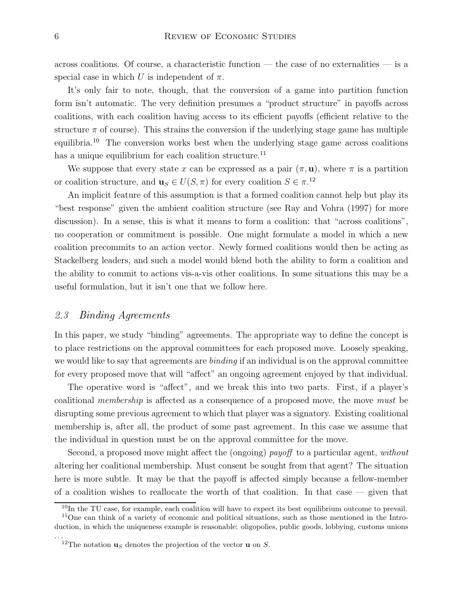across coalitions. Of course, a characteristic function — the case of no externalities — is a special case in which U is independent of  $\pi$ .

It's only fair to note, though, that the conversion of a game into partition function form isn't automatic. The very definition presumes a "product structure" in payoffs across coalitions, with each coalition having access to its efficient payoffs (efficient relative to the structure  $\pi$  of course). This strains the conversion if the underlying stage game has multiple equilibria.<sup>10</sup> The conversion works best when the underlying stage game across coalitions has a unique equilibrium for each coalition structure.<sup>11</sup>

We suppose that every state x can be expressed as a pair  $(\pi, \mathbf{u})$ , where  $\pi$  is a partition or coalition structure, and  $\mathbf{u}_S \in U(S, \pi)$  for every coalition  $S \in \pi$ .<sup>12</sup>

An implicit feature of this assumption is that a formed coalition cannot help but play its "best response" given the ambient coalition structure (see Ray and Vohra (1997) for more discussion). In a sense, this is what it means to form a coalition: that "across coalitions", no cooperation or commitment is possible. One might formulate a model in which a new coalition precommits to an action vector. Newly formed coalitions would then be acting as Stackelberg leaders, and such a model would blend both the ability to form a coalition and the ability to commit to actions vis-a-vis other coalitions. In some situations this may be a useful formulation, but it isn't one that we follow here.

#### 2.3 Binding Agreements

. . .

In this paper, we study "binding" agreements. The appropriate way to define the concept is to place restrictions on the approval committees for each proposed move. Loosely speaking, we would like to say that agreements are *binding* if an individual is on the approval committee for every proposed move that will "affect" an ongoing agreement enjoyed by that individual.

The operative word is "affect", and we break this into two parts. First, if a player's coalitional membership is affected as a consequence of a proposed move, the move must be disrupting some previous agreement to which that player was a signatory. Existing coalitional membership is, after all, the product of some past agreement. In this case we assume that the individual in question must be on the approval committee for the move.

Second, a proposed move might affect the (ongoing) payoff to a particular agent, without altering her coalitional membership. Must consent be sought from that agent? The situation here is more subtle. It may be that the payoff is affected simply because a fellow-member of a coalition wishes to reallocate the worth of that coalition. In that case — given that

<sup>&</sup>lt;sup>10</sup>In the TU case, for example, each coalition will have to expect its best equilibrium outcome to prevail. <sup>11</sup>One can think of a variety of economic and political situations, such as those mentioned in the Intro-

duction, in which the uniqueness example is reasonable: oligopolies, public goods, lobbying, customs unions

<sup>&</sup>lt;sup>12</sup>The notation  $\mathbf{u}_S$  denotes the projection of the vector **u** on S.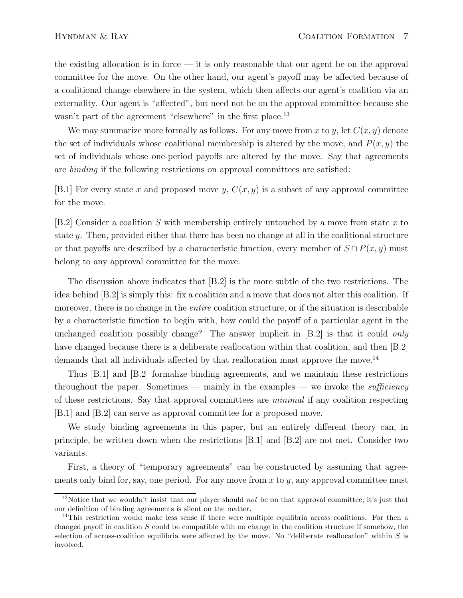the existing allocation is in force — it is only reasonable that our agent be on the approval committee for the move. On the other hand, our agent's payoff may be affected because of a coalitional change elsewhere in the system, which then affects our agent's coalition via an externality. Our agent is "affected", but need not be on the approval committee because she wasn't part of the agreement "elsewhere" in the first place.<sup>13</sup>

We may summarize more formally as follows. For any move from x to y, let  $C(x, y)$  denote the set of individuals whose coalitional membership is altered by the move, and  $P(x, y)$  the set of individuals whose one-period payoffs are altered by the move. Say that agreements are binding if the following restrictions on approval committees are satisfied:

[B.1] For every state x and proposed move y,  $C(x, y)$  is a subset of any approval committee for the move.

[B.2] Consider a coalition S with membership entirely untouched by a move from state x to state y. Then, provided either that there has been no change at all in the coalitional structure or that payoffs are described by a characteristic function, every member of  $S \cap P(x, y)$  must belong to any approval committee for the move.

The discussion above indicates that [B.2] is the more subtle of the two restrictions. The idea behind [B.2] is simply this: fix a coalition and a move that does not alter this coalition. If moreover, there is no change in the *entire* coalition structure, or if the situation is describable by a characteristic function to begin with, how could the payoff of a particular agent in the unchanged coalition possibly change? The answer implicit in [B.2] is that it could only have changed because there is a deliberate reallocation within that coalition, and then [B.2] demands that all individuals affected by that reallocation must approve the move.<sup>14</sup>

Thus [B.1] and [B.2] formalize binding agreements, and we maintain these restrictions throughout the paper. Sometimes — mainly in the examples — we invoke the *sufficiency* of these restrictions. Say that approval committees are minimal if any coalition respecting [B.1] and [B.2] can serve as approval committee for a proposed move.

We study binding agreements in this paper, but an entirely different theory can, in principle, be written down when the restrictions [B.1] and [B.2] are not met. Consider two variants.

First, a theory of "temporary agreements" can be constructed by assuming that agreements only bind for, say, one period. For any move from  $x$  to  $y$ , any approval committee must

<sup>&</sup>lt;sup>13</sup>Notice that we wouldn't insist that our player should *not* be on that approval committee; it's just that our definition of binding agreements is silent on the matter.

<sup>&</sup>lt;sup>14</sup>This restriction would make less sense if there were multiple equilibria across coalitions. For then a changed payoff in coalition  $S$  could be compatible with no change in the coalition structure if somehow, the selection of across-coalition equilibria were affected by the move. No "deliberate reallocation" within S is involved.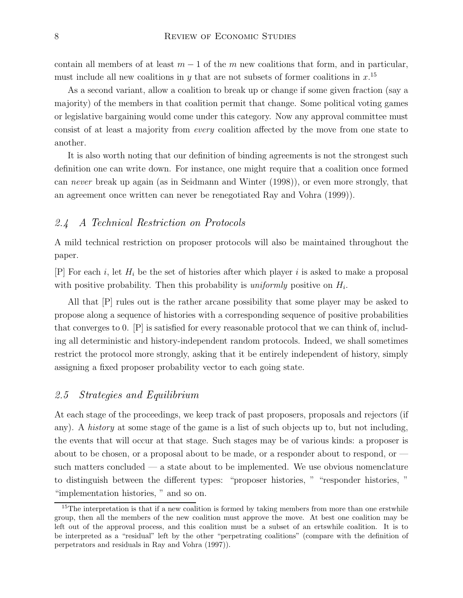contain all members of at least  $m-1$  of the m new coalitions that form, and in particular, must include all new coalitions in y that are not subsets of former coalitions in  $x$ .<sup>15</sup>

As a second variant, allow a coalition to break up or change if some given fraction (say a majority) of the members in that coalition permit that change. Some political voting games or legislative bargaining would come under this category. Now any approval committee must consist of at least a majority from every coalition affected by the move from one state to another.

It is also worth noting that our definition of binding agreements is not the strongest such definition one can write down. For instance, one might require that a coalition once formed can never break up again (as in Seidmann and Winter (1998)), or even more strongly, that an agreement once written can never be renegotiated Ray and Vohra (1999)).

#### 2.4 A Technical Restriction on Protocols

A mild technical restriction on proposer protocols will also be maintained throughout the paper.

[P] For each i, let  $H_i$  be the set of histories after which player i is asked to make a proposal with positive probability. Then this probability is *uniformly* positive on  $H_i$ .

All that [P] rules out is the rather arcane possibility that some player may be asked to propose along a sequence of histories with a corresponding sequence of positive probabilities that converges to 0. [P] is satisfied for every reasonable protocol that we can think of, including all deterministic and history-independent random protocols. Indeed, we shall sometimes restrict the protocol more strongly, asking that it be entirely independent of history, simply assigning a fixed proposer probability vector to each going state.

#### 2.5 Strategies and Equilibrium

At each stage of the proceedings, we keep track of past proposers, proposals and rejectors (if any). A history at some stage of the game is a list of such objects up to, but not including, the events that will occur at that stage. Such stages may be of various kinds: a proposer is about to be chosen, or a proposal about to be made, or a responder about to respond, or such matters concluded — a state about to be implemented. We use obvious nomenclature to distinguish between the different types: "proposer histories, " "responder histories, " "implementation histories, " and so on.

<sup>&</sup>lt;sup>15</sup>The interpretation is that if a new coalition is formed by taking members from more than one erstwhile group, then all the members of the new coalition must approve the move. At best one coalition may be left out of the approval process, and this coalition must be a subset of an ertswhile coalition. It is to be interpreted as a "residual" left by the other "perpetrating coalitions" (compare with the definition of perpetrators and residuals in Ray and Vohra (1997)).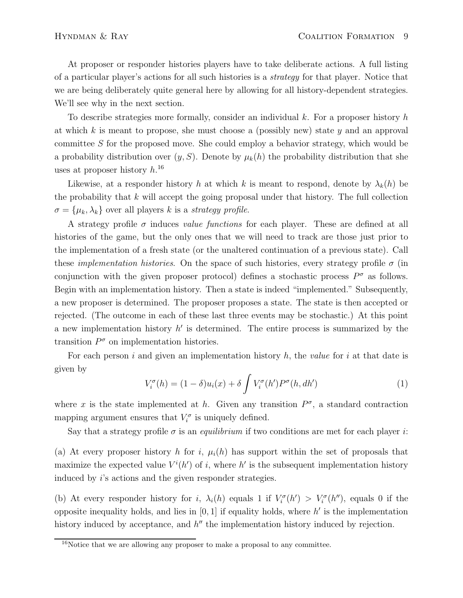At proposer or responder histories players have to take deliberate actions. A full listing of a particular player's actions for all such histories is a strategy for that player. Notice that we are being deliberately quite general here by allowing for all history-dependent strategies. We'll see why in the next section.

To describe strategies more formally, consider an individual  $k$ . For a proposer history h at which k is meant to propose, she must choose a (possibly new) state  $y$  and an approval committee S for the proposed move. She could employ a behavior strategy, which would be a probability distribution over  $(y, S)$ . Denote by  $\mu_k(h)$  the probability distribution that she uses at proposer history  $h^{16}$ 

Likewise, at a responder history h at which k is meant to respond, denote by  $\lambda_k(h)$  be the probability that  $k$  will accept the going proposal under that history. The full collection  $\sigma = {\mu_k, \lambda_k}$  over all players k is a strategy profile.

A strategy profile  $\sigma$  induces *value functions* for each player. These are defined at all histories of the game, but the only ones that we will need to track are those just prior to the implementation of a fresh state (or the unaltered continuation of a previous state). Call these *implementation histories*. On the space of such histories, every strategy profile  $\sigma$  (in conjunction with the given proposer protocol) defines a stochastic process  $P^{\sigma}$  as follows. Begin with an implementation history. Then a state is indeed "implemented." Subsequently, a new proposer is determined. The proposer proposes a state. The state is then accepted or rejected. (The outcome in each of these last three events may be stochastic.) At this point a new implementation history  $h'$  is determined. The entire process is summarized by the transition  $P^{\sigma}$  on implementation histories.

For each person  $i$  and given an implementation history  $h$ , the value for  $i$  at that date is given by

$$
V_i^{\sigma}(h) = (1 - \delta)u_i(x) + \delta \int V_i^{\sigma}(h')P^{\sigma}(h, dh')
$$
 (1)

where x is the state implemented at h. Given any transition  $P^{\sigma}$ , a standard contraction mapping argument ensures that  $V_i^{\sigma}$  is uniquely defined.

Say that a strategy profile  $\sigma$  is an *equilibrium* if two conditions are met for each player *i*:

(a) At every proposer history h for i,  $\mu_i(h)$  has support within the set of proposals that maximize the expected value  $V^{i}(h')$  of i, where  $h'$  is the subsequent implementation history induced by i's actions and the given responder strategies.

(b) At every responder history for i,  $\lambda_i(h)$  equals 1 if  $V_i^{\sigma}(h') > V_i^{\sigma}(h'')$ , equals 0 if the opposite inequality holds, and lies in  $[0, 1]$  if equality holds, where  $h'$  is the implementation history induced by acceptance, and  $h''$  the implementation history induced by rejection.

<sup>&</sup>lt;sup>16</sup>Notice that we are allowing any proposer to make a proposal to any committee.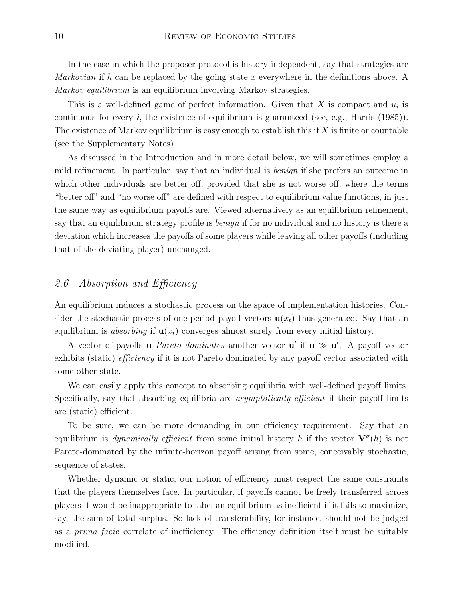In the case in which the proposer protocol is history-independent, say that strategies are *Markovian* if h can be replaced by the going state x everywhere in the definitions above. A Markov equilibrium is an equilibrium involving Markov strategies.

This is a well-defined game of perfect information. Given that  $X$  is compact and  $u_i$  is continuous for every i, the existence of equilibrium is guaranteed (see, e.g., Harris  $(1985)$ ). The existence of Markov equilibrium is easy enough to establish this if  $X$  is finite or countable (see the Supplementary Notes).

As discussed in the Introduction and in more detail below, we will sometimes employ a mild refinement. In particular, say that an individual is benign if she prefers an outcome in which other individuals are better off, provided that she is not worse off, where the terms "better off" and "no worse off" are defined with respect to equilibrium value functions, in just the same way as equilibrium payoffs are. Viewed alternatively as an equilibrium refinement, say that an equilibrium strategy profile is *benign* if for no individual and no history is there a deviation which increases the payoffs of some players while leaving all other payoffs (including that of the deviating player) unchanged.

#### 2.6 Absorption and Efficiency

An equilibrium induces a stochastic process on the space of implementation histories. Consider the stochastic process of one-period payoff vectors  $\mathbf{u}(x_t)$  thus generated. Say that an equilibrium is *absorbing* if  $\mathbf{u}(x_t)$  converges almost surely from every initial history.

A vector of payoffs **u** *Pareto dominates* another vector **u**' if **u**  $\gg$  **u**'. A payoff vector exhibits (static) *efficiency* if it is not Pareto dominated by any payoff vector associated with some other state.

We can easily apply this concept to absorbing equilibria with well-defined payoff limits. Specifically, say that absorbing equilibria are *asymptotically efficient* if their payoff limits are (static) efficient.

To be sure, we can be more demanding in our efficiency requirement. Say that an equilibrium is *dynamically efficient* from some initial history h if the vector  $V^{\sigma}(h)$  is not Pareto-dominated by the infinite-horizon payoff arising from some, conceivably stochastic, sequence of states.

Whether dynamic or static, our notion of efficiency must respect the same constraints that the players themselves face. In particular, if payoffs cannot be freely transferred across players it would be inappropriate to label an equilibrium as inefficient if it fails to maximize, say, the sum of total surplus. So lack of transferability, for instance, should not be judged as a prima facie correlate of inefficiency. The efficiency definition itself must be suitably modified.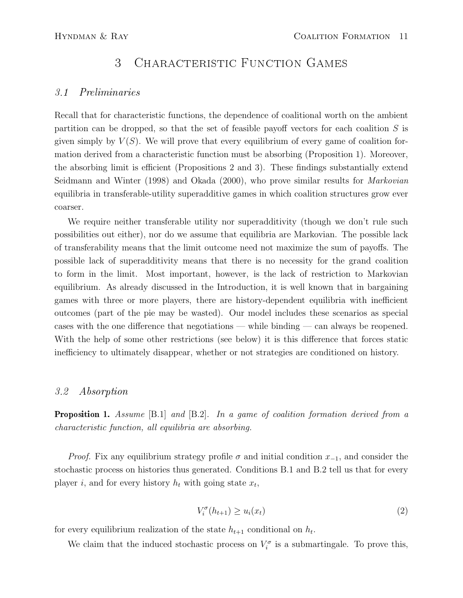# 3 CHARACTERISTIC FUNCTION GAMES

Recall that for characteristic functions, the dependence of coalitional worth on the ambient partition can be dropped, so that the set of feasible payoff vectors for each coalition  $S$  is given simply by  $V(S)$ . We will prove that every equilibrium of every game of coalition formation derived from a characteristic function must be absorbing (Proposition 1). Moreover, the absorbing limit is efficient (Propositions 2 and 3). These findings substantially extend Seidmann and Winter (1998) and Okada (2000), who prove similar results for Markovian equilibria in transferable-utility superadditive games in which coalition structures grow ever coarser.

We require neither transferable utility nor superadditivity (though we don't rule such possibilities out either), nor do we assume that equilibria are Markovian. The possible lack of transferability means that the limit outcome need not maximize the sum of payoffs. The possible lack of superadditivity means that there is no necessity for the grand coalition to form in the limit. Most important, however, is the lack of restriction to Markovian equilibrium. As already discussed in the Introduction, it is well known that in bargaining games with three or more players, there are history-dependent equilibria with inefficient outcomes (part of the pie may be wasted). Our model includes these scenarios as special cases with the one difference that negotiations — while binding — can always be reopened. With the help of some other restrictions (see below) it is this difference that forces static inefficiency to ultimately disappear, whether or not strategies are conditioned on history.

#### Absorption  $3.2$

**Proposition 1.** Assume [B.1] and [B.2]. In a game of coalition formation derived from a characteristic function, all equilibria are absorbing.

*Proof.* Fix any equilibrium strategy profile  $\sigma$  and initial condition  $x_{-1}$ , and consider the stochastic process on histories thus generated. Conditions B.1 and B.2 tell us that for every player *i*, and for every history  $h_t$  with going state  $x_t$ ,

$$
V_i^{\sigma}(h_{t+1}) \ge u_i(x_t) \tag{2}
$$

for every equilibrium realization of the state  $h_{t+1}$  conditional on  $h_t$ .

We claim that the induced stochastic process on  $V_i^{\sigma}$  is a submartingale. To prove this,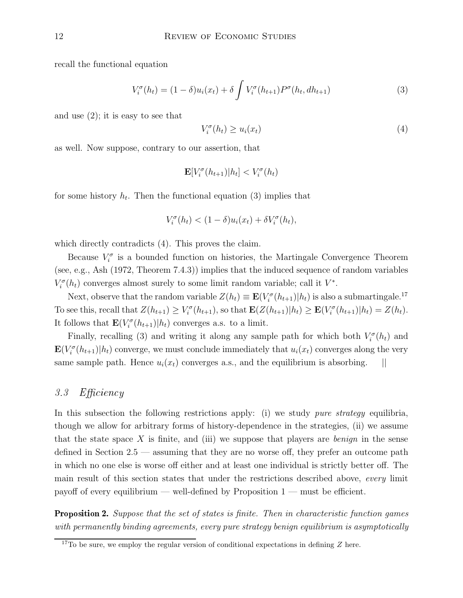recall the functional equation

$$
V_i^{\sigma}(h_t) = (1 - \delta)u_i(x_t) + \delta \int V_i^{\sigma}(h_{t+1}) P^{\sigma}(h_t, dh_{t+1})
$$
\n(3)

and use  $(2)$ ; it is easy to see that

$$
V_i^{\sigma}(h_t) \ge u_i(x_t) \tag{4}
$$

as well. Now suppose, contrary to our assertion, that

$$
\mathbf{E}[V_i^{\sigma}(h_{t+1})|h_t] < V_i^{\sigma}(h_t)
$$

for some history  $h_t$ . Then the functional equation (3) implies that

$$
V_i^{\sigma}(h_t) < (1 - \delta)u_i(x_t) + \delta V_i^{\sigma}(h_t),
$$

which directly contradicts (4). This proves the claim.

Because  $V_i^{\sigma}$  is a bounded function on histories, the Martingale Convergence Theorem (see, e.g., Ash (1972, Theorem 7.4.3)) implies that the induced sequence of random variables  $V_i^{\sigma}(h_t)$  converges almost surely to some limit random variable; call it  $V^*$ .

Next, observe that the random variable  $Z(h_t) \equiv \mathbf{E}(V_i^{\sigma}(h_{t+1})|h_t)$  is also a submartingale.<sup>17</sup> To see this, recall that  $Z(h_{t+1}) \geq V_i^{\sigma}(h_{t+1}),$  so that  $\mathbf{E}(Z(h_{t+1})|h_t) \geq \mathbf{E}(V_i^{\sigma}(h_{t+1})|h_t) = Z(h_t).$ It follows that  $\mathbf{E}(V_i^{\sigma}(h_{t+1})|h_t)$  converges a.s. to a limit.

Finally, recalling (3) and writing it along any sample path for which both  $V_i^{\sigma}(h_t)$  and  $\mathbf{E}(V_i^{\sigma}(h_{t+1})|h_t)$  converge, we must conclude immediately that  $u_i(x_t)$  converges along the very same sample path. Hence  $u_i(x_t)$  converges a.s., and the equilibrium is absorbing.  $||$ 

#### 3.3 Efficiency

In this subsection the following restrictions apply: (i) we study *pure strategy* equilibria, though we allow for arbitrary forms of history-dependence in the strategies, (ii) we assume that the state space X is finite, and (iii) we suppose that players are *benign* in the sense defined in Section 2.5 — assuming that they are no worse off, they prefer an outcome path in which no one else is worse off either and at least one individual is strictly better off. The main result of this section states that under the restrictions described above, every limit payoff of every equilibrium — well-defined by Proposition 1 — must be efficient.

**Proposition 2.** Suppose that the set of states is finite. Then in characteristic function games with permanently binding agreements, every pure strategy benign equilibrium is asymptotically

<sup>&</sup>lt;sup>17</sup>To be sure, we employ the regular version of conditional expectations in defining  $Z$  here.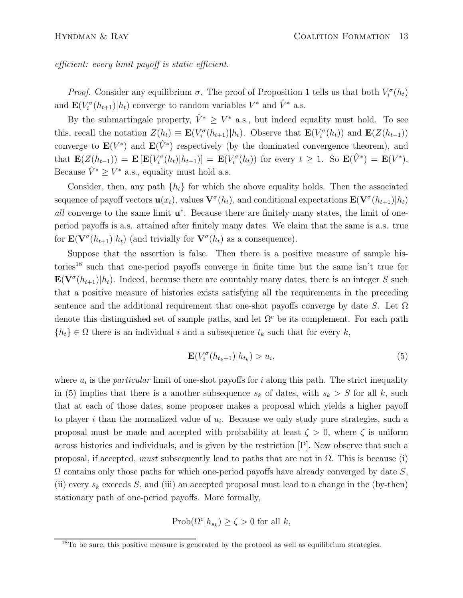efficient: every limit payoff is static efficient.

*Proof.* Consider any equilibrium  $\sigma$ . The proof of Proposition 1 tells us that both  $V_i^{\sigma}(h_t)$ and  $\mathbf{E}(V_i^{\sigma}(h_{t+1})|h_t)$  converge to random variables  $V^*$  and  $\hat{V}^*$  a.s.

By the submartingale property,  $\hat{V}^* \geq V^*$  a.s., but indeed equality must hold. To see this, recall the notation  $Z(h_t) \equiv \mathbf{E}(V_i^{\sigma}(h_{t+1})|h_t)$ . Observe that  $\mathbf{E}(V_i^{\sigma}(h_t))$  and  $\mathbf{E}(Z(h_{t-1}))$ converge to  $\mathbf{E}(V^*)$  and  $\mathbf{E}(\hat{V}^*)$  respectively (by the dominated convergence theorem), and that  $\mathbf{E}(Z(h_{t-1})) = \mathbf{E}[\mathbf{E}(V_i^{\sigma}(h_t)|h_{t-1})] = \mathbf{E}(V_i^{\sigma}(h_t))$  for every  $t \geq 1$ . So  $\mathbf{E}(\hat{V}^*) = \mathbf{E}(V^*)$ . Because  $\hat{V}^* \geq V^*$  a.s., equality must hold a.s.

Consider, then, any path  $\{h_t\}$  for which the above equality holds. Then the associated sequence of payoff vectors  $\mathbf{u}(x_t)$ , values  $\mathbf{V}^{\sigma}(h_t)$ , and conditional expectations  $\mathbf{E}(\mathbf{V}^{\sigma}(h_{t+1})|h_t)$ all converge to the same limit  $\mathbf{u}^*$ . Because there are finitely many states, the limit of oneperiod payoffs is a.s. attained after finitely many dates. We claim that the same is a.s. true for  $\mathbf{E}(\mathbf{V}^{\sigma}(h_{t+1})|h_t)$  (and trivially for  $\mathbf{V}^{\sigma}(h_t)$  as a consequence).

Suppose that the assertion is false. Then there is a positive measure of sample histories<sup>18</sup> such that one-period payoffs converge in finite time but the same isn't true for  $\mathbf{E}(\mathbf{V}^{\sigma}(h_{t+1})|h_t)$ . Indeed, because there are countably many dates, there is an integer S such that a positive measure of histories exists satisfying all the requirements in the preceding sentence and the additional requirement that one-shot payoffs converge by date S. Let  $\Omega$ denote this distinguished set of sample paths, and let  $\Omega^c$  be its complement. For each path  ${h_t} \in \Omega$  there is an individual i and a subsequence  $t_k$  such that for every k,

$$
\mathbf{E}(V_i^{\sigma}(h_{t_k+1})|h_{t_k}) > u_i,
$$
\n<sup>(5)</sup>

where  $u_i$  is the *particular* limit of one-shot payoffs for i along this path. The strict inequality in (5) implies that there is a another subsequence  $s_k$  of dates, with  $s_k > S$  for all k, such that at each of those dates, some proposer makes a proposal which yields a higher payoff to player *i* than the normalized value of  $u_i$ . Because we only study pure strategies, such a proposal must be made and accepted with probability at least  $\zeta > 0$ , where  $\zeta$  is uniform across histories and individuals, and is given by the restriction [P]. Now observe that such a proposal, if accepted, *must* subsequently lead to paths that are not in  $\Omega$ . This is because (i)  $\Omega$  contains only those paths for which one-period payoffs have already converged by date S, (ii) every  $s_k$  exceeds S, and (iii) an accepted proposal must lead to a change in the (by-then) stationary path of one-period payoffs. More formally,

$$
Prob(\Omega^c | h_{s_k}) \ge \zeta > 0
$$
 for all  $k$ ,

<sup>&</sup>lt;sup>18</sup>To be sure, this positive measure is generated by the protocol as well as equilibrium strategies.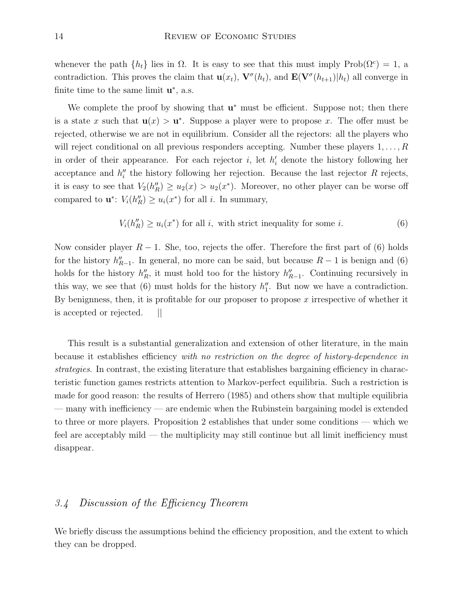whenever the path  $\{h_t\}$  lies in  $\Omega$ . It is easy to see that this must imply Prob $(\Omega^c) = 1$ , a contradiction. This proves the claim that  $\mathbf{u}(x_t)$ ,  $\mathbf{V}^{\sigma}(h_t)$ , and  $\mathbf{E}(\mathbf{V}^{\sigma}(h_{t+1})|h_t)$  all converge in finite time to the same limit  $\mathbf{u}^*$ , a.s.

We complete the proof by showing that  $\mathbf{u}^*$  must be efficient. Suppose not; then there is a state x such that  $u(x) > u^*$ . Suppose a player were to propose x. The offer must be rejected, otherwise we are not in equilibrium. Consider all the rejectors: all the players who will reject conditional on all previous responders accepting. Number these players  $1, \ldots, R$ in order of their appearance. For each rejector i, let  $h'_i$  denote the history following her acceptance and  $h''_i$  the history following her rejection. Because the last rejector R rejects, it is easy to see that  $V_2(h''_R) \ge u_2(x) > u_2(x^*)$ . Moreover, no other player can be worse off compared to  $\mathbf{u}^*$ :  $V_i(h''_R) \geq u_i(x^*)$  for all *i*. In summary,

$$
V_i(h''_R) \ge u_i(x^*)
$$
 for all *i*, with strict inequality for some *i*. (6)

Now consider player  $R-1$ . She, too, rejects the offer. Therefore the first part of (6) holds for the history  $h''_{R-1}$ . In general, no more can be said, but because  $R-1$  is benign and (6) holds for the history  $h''_R$ , it must hold too for the history  $h''_{R-1}$ . Continuing recursively in this way, we see that  $(6)$  must holds for the history  $h''_1$ 1 . But now we have a contradiction. By benignness, then, it is profitable for our proposer to propose  $x$  irrespective of whether it is accepted or rejected. |

This result is a substantial generalization and extension of other literature, in the main because it establishes efficiency with no restriction on the degree of history-dependence in strategies. In contrast, the existing literature that establishes bargaining efficiency in characteristic function games restricts attention to Markov-perfect equilibria. Such a restriction is made for good reason: the results of Herrero (1985) and others show that multiple equilibria — many with inefficiency — are endemic when the Rubinstein bargaining model is extended to three or more players. Proposition 2 establishes that under some conditions — which we feel are acceptably mild — the multiplicity may still continue but all limit inefficiency must disappear.

#### 3.4 Discussion of the Efficiency Theorem

We briefly discuss the assumptions behind the efficiency proposition, and the extent to which they can be dropped.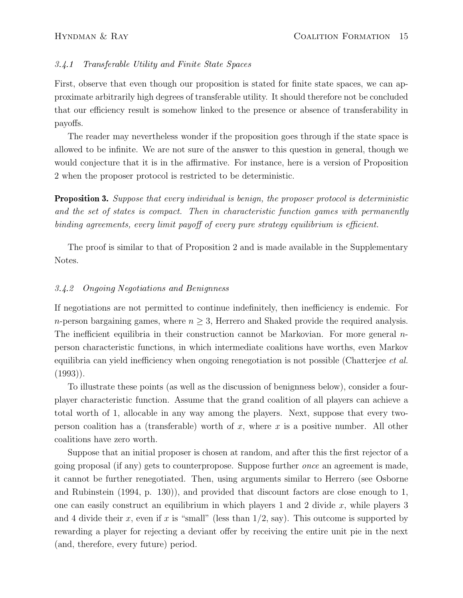#### 3.4.1 Transferable Utility and Finite State Spa
es

First, observe that even though our proposition is stated for finite state spaces, we can approximate arbitrarily high degrees of transferable utility. It should therefore not be concluded that our efficiency result is somehow linked to the presence or absence of transferability in payoffs.

The reader may nevertheless wonder if the proposition goes through if the state space is allowed to be infinite. We are not sure of the answer to this question in general, though we would conjecture that it is in the affirmative. For instance, here is a version of Proposition 2 when the proposer protocol is restricted to be deterministic.

**Proposition 3.** Suppose that every individual is benign, the proposer protocol is deterministic and the set of states is compact. Then in characteristic function games with permanently binding agreements, every limit payoff of every pure strategy equilibrium is efficient.

The proof is similar to that of Proposition 2 and is made available in the Supplementary Notes.

#### 3.4.2 Ongoing Negotiations and Benignness

If negotiations are not permitted to continue indefinitely, then inefficiency is endemic. For n-person bargaining games, where  $n \geq 3$ , Herrero and Shaked provide the required analysis. The inefficient equilibria in their construction cannot be Markovian. For more general  $n$ person characteristic functions, in which intermediate coalitions have worths, even Markov equilibria can yield inefficiency when ongoing renegotiation is not possible (Chatterjee *et al.*) (1993)).

To illustrate these points (as well as the discussion of benignness below), consider a fourplayer characteristic function. Assume that the grand coalition of all players can achieve a total worth of 1, allocable in any way among the players. Next, suppose that every twoperson coalition has a (transferable) worth of x, where x is a positive number. All other coalitions have zero worth.

Suppose that an initial proposer is chosen at random, and after this the first rejector of a going proposal (if any) gets to counterpropose. Suppose further once an agreement is made, it cannot be further renegotiated. Then, using arguments similar to Herrero (see Osborne and Rubinstein (1994, p. 130)), and provided that discount factors are close enough to 1, one can easily construct an equilibrium in which players 1 and 2 divide  $x$ , while players 3 and 4 divide their x, even if x is "small" (less than  $1/2$ , say). This outcome is supported by rewarding a player for rejecting a deviant offer by receiving the entire unit pie in the next (and, therefore, every future) period.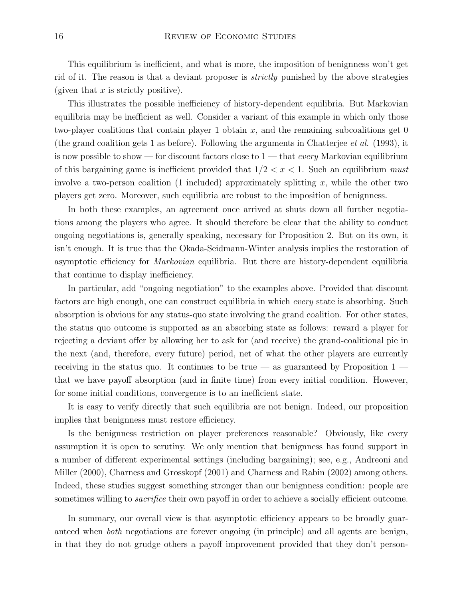This equilibrium is inefficient, and what is more, the imposition of benignness won't get rid of it. The reason is that a deviant proposer is strictly punished by the above strategies (given that  $x$  is strictly positive).

This illustrates the possible inefficiency of history-dependent equilibria. But Markovian equilibria may be inefficient as well. Consider a variant of this example in which only those two-player coalitions that contain player 1 obtain  $x$ , and the remaining subcoalitions get 0 (the grand coalition gets 1 as before). Following the arguments in Chatterjee et al. (1993), it is now possible to show — for discount factors close to  $1$  — that *every* Markovian equilibrium of this bargaining game is inefficient provided that  $1/2 < x < 1$ . Such an equilibrium must involve a two-person coalition (1 included) approximately splitting x, while the other two players get zero. Moreover, such equilibria are robust to the imposition of benignness.

In both these examples, an agreement once arrived at shuts down all further negotiations among the players who agree. It should therefore be clear that the ability to conduct ongoing negotiations is, generally speaking, necessary for Proposition 2. But on its own, it isn't enough. It is true that the Okada-Seidmann-Winter analysis implies the restoration of asymptotic efficiency for Markovian equilibria. But there are history-dependent equilibria that continue to display inefficiency.

In particular, add "ongoing negotiation" to the examples above. Provided that discount factors are high enough, one can construct equilibria in which every state is absorbing. Such absorption is obvious for any status-quo state involving the grand coalition. For other states, the status quo outcome is supported as an absorbing state as follows: reward a player for rejecting a deviant offer by allowing her to ask for (and receive) the grand-coalitional pie in the next (and, therefore, every future) period, net of what the other players are currently receiving in the status quo. It continues to be true — as guaranteed by Proposition  $1$  that we have payoff absorption (and in finite time) from every initial condition. However, for some initial conditions, convergence is to an inefficient state.

It is easy to verify directly that such equilibria are not benign. Indeed, our proposition implies that benignness must restore efficiency.

Is the benignness restriction on player preferences reasonable? Obviously, like every assumption it is open to scrutiny. We only mention that benignness has found support in a number of different experimental settings (including bargaining); see, e.g., Andreoni and Miller (2000), Charness and Grosskopf (2001) and Charness and Rabin (2002) among others. Indeed, these studies suggest something stronger than our benignness condition: people are sometimes willing to *sacrifice* their own payoff in order to achieve a socially efficient outcome.

In summary, our overall view is that asymptotic efficiency appears to be broadly guaranteed when both negotiations are forever ongoing (in principle) and all agents are benign, in that they do not grudge others a payoff improvement provided that they don't person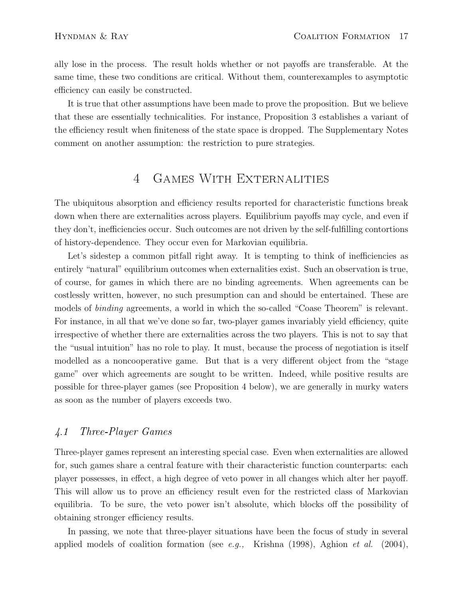ally lose in the process. The result holds whether or not payoffs are transferable. At the same time, these two conditions are critical. Without them, counterexamples to asymptotic efficiency can easily be constructed.

It is true that other assumptions have been made to prove the proposition. But we believe that these are essentially technicalities. For instance, Proposition 3 establishes a variant of the efficiency result when finiteness of the state space is dropped. The Supplementary Notes comment on another assumption: the restriction to pure strategies.

## 4 Games With Externalities

The ubiquitous absorption and efficiency results reported for characteristic functions break down when there are externalities across players. Equilibrium payoffs may cycle, and even if they don't, inefficiencies occur. Such outcomes are not driven by the self-fulfilling contortions of history-dependence. They occur even for Markovian equilibria.

Let's sidestep a common pitfall right away. It is tempting to think of inefficiencies as entirely "natural" equilibrium outcomes when externalities exist. Such an observation is true, of course, for games in which there are no binding agreements. When agreements can be costlessly written, however, no such presumption can and should be entertained. These are models of binding agreements, a world in which the so-called "Coase Theorem" is relevant. For instance, in all that we've done so far, two-player games invariably yield efficiency, quite irrespective of whether there are externalities across the two players. This is not to say that the "usual intuition" has no role to play. It must, because the process of negotiation is itself modelled as a noncooperative game. But that is a very different object from the "stage game" over which agreements are sought to be written. Indeed, while positive results are possible for three-player games (see Proposition 4 below), we are generally in murky waters as soon as the number of players exceeds two.

## 4.1 Three-Player Games

Three-player games represent an interesting special case. Even when externalities are allowed for, such games share a central feature with their characteristic function counterparts: each player possesses, in effect, a high degree of veto power in all changes which alter her payoff. This will allow us to prove an efficiency result even for the restricted class of Markovian equilibria. To be sure, the veto power isn't absolute, which blocks off the possibility of obtaining stronger efficiency results.

In passing, we note that three-player situations have been the focus of study in several applied models of coalition formation (see e.g., Krishna (1998), Aghion et al. (2004),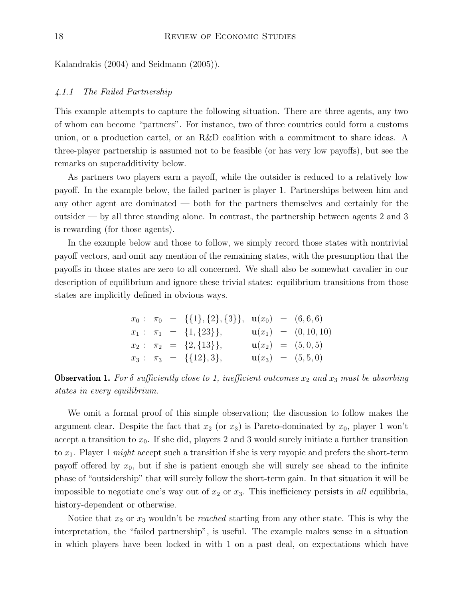Kalandrakis (2004) and Seidmann (2005)).

#### 4.1.1 The Failed Partnership

This example attempts to capture the following situation. There are three agents, any two of whom can become "partners". For instance, two of three countries could form a customs union, or a production cartel, or an R&D coalition with a commitment to share ideas. A three-player partnership is assumed not to be feasible (or has very low payoffs), but see the remarks on superadditivity below.

As partners two players earn a payoff, while the outsider is reduced to a relatively low payoff. In the example below, the failed partner is player 1. Partnerships between him and any other agent are dominated — both for the partners themselves and certainly for the outsider — by all three standing alone. In contrast, the partnership between agents 2 and 3 is rewarding (for those agents).

In the example below and those to follow, we simply record those states with nontrivial payoff vectors, and omit any mention of the remaining states, with the presumption that the payoffs in those states are zero to all concerned. We shall also be somewhat cavalier in our description of equilibrium and ignore these trivial states: equilibrium transitions from those states are implicitly defined in obvious ways.

$$
x_0: \pi_0 = \{\{1\}, \{2\}, \{3\}\}, \quad \mathbf{u}(x_0) = (6, 6, 6)
$$
  
\n
$$
x_1: \pi_1 = \{1, \{23\}\}, \quad \mathbf{u}(x_1) = (0, 10, 10)
$$
  
\n
$$
x_2: \pi_2 = \{2, \{13\}\}, \quad \mathbf{u}(x_2) = (5, 0, 5)
$$
  
\n
$$
x_3: \pi_3 = \{\{12\}, 3\}, \quad \mathbf{u}(x_3) = (5, 5, 0)
$$

**Observation 1.** For  $\delta$  sufficiently close to 1, inefficient outcomes  $x_2$  and  $x_3$  must be absorbing states in every equilibrium.

We omit a formal proof of this simple observation; the discussion to follow makes the argument clear. Despite the fact that  $x_2$  (or  $x_3$ ) is Pareto-dominated by  $x_0$ , player 1 won't accept a transition to  $x_0$ . If she did, players 2 and 3 would surely initiate a further transition to  $x_1$ . Player 1 *might* accept such a transition if she is very myopic and prefers the short-term payoff offered by  $x_0$ , but if she is patient enough she will surely see ahead to the infinite phase of "outsidership" that will surely follow the short-term gain. In that situation it will be impossible to negotiate one's way out of  $x_2$  or  $x_3$ . This inefficiency persists in all equilibria, history-dependent or otherwise.

Notice that  $x_2$  or  $x_3$  wouldn't be *reached* starting from any other state. This is why the interpretation, the "failed partnership", is useful. The example makes sense in a situation in which players have been locked in with 1 on a past deal, on expectations which have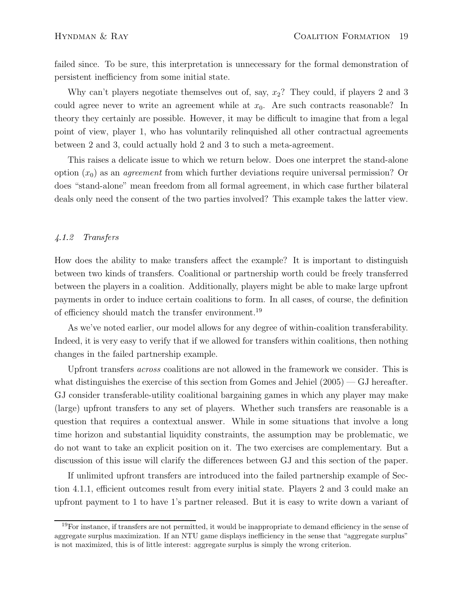failed since. To be sure, this interpretation is unnecessary for the formal demonstration of persistent inefficiency from some initial state.

Why can't players negotiate themselves out of, say,  $x_2$ ? They could, if players 2 and 3 could agree never to write an agreement while at  $x_0$ . Are such contracts reasonable? In theory they certainly are possible. However, it may be difficult to imagine that from a legal point of view, player 1, who has voluntarily relinquished all other contractual agreements between 2 and 3, could actually hold 2 and 3 to such a meta-agreement.

This raises a delicate issue to which we return below. Does one interpret the stand-alone option  $(x_0)$  as an *agreement* from which further deviations require universal permission? Or does "stand-alone" mean freedom from all formal agreement, in which case further bilateral deals only need the consent of the two parties involved? This example takes the latter view.

#### 4.1.2 Transfers

How does the ability to make transfers affect the example? It is important to distinguish between two kinds of transfers. Coalitional or partnership worth could be freely transferred between the players in a coalition. Additionally, players might be able to make large upfront payments in order to induce certain coalitions to form. In all cases, of course, the definition of efficiency should match the transfer environment.<sup>19</sup>

As we've noted earlier, our model allows for any degree of within-coalition transferability. Indeed, it is very easy to verify that if we allowed for transfers within coalitions, then nothing changes in the failed partnership example.

Upfront transfers across coalitions are not allowed in the framework we consider. This is what distinguishes the exercise of this section from Gomes and Jehiel  $(2005)$  — GJ hereafter. GJ consider transferable-utility coalitional bargaining games in which any player may make (large) upfront transfers to any set of players. Whether such transfers are reasonable is a question that requires a contextual answer. While in some situations that involve a long time horizon and substantial liquidity constraints, the assumption may be problematic, we do not want to take an explicit position on it. The two exercises are complementary. But a discussion of this issue will clarify the differences between GJ and this section of the paper.

If unlimited upfront transfers are introduced into the failed partnership example of Section 4.1.1, efficient outcomes result from every initial state. Players 2 and 3 could make an upfront payment to 1 to have 1's partner released. But it is easy to write down a variant of

<sup>&</sup>lt;sup>19</sup>For instance, if transfers are not permitted, it would be inappropriate to demand efficiency in the sense of aggregate surplus maximization. If an NTU game displays inefficiency in the sense that "aggregate surplus" is not maximized, this is of little interest: aggregate surplus is simply the wrong criterion.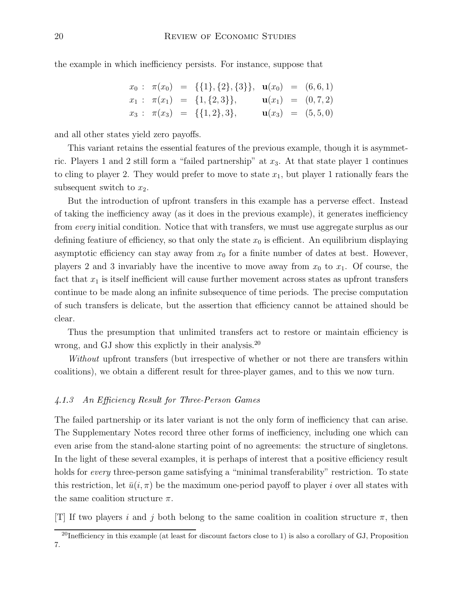the example in which inefficiency persists. For instance, suppose that

$$
x_0: \pi(x_0) = \{\{1\}, \{2\}, \{3\}\}, \quad \mathbf{u}(x_0) = (6, 6, 1)
$$
  
\n
$$
x_1: \pi(x_1) = \{1, \{2, 3\}\}, \quad \mathbf{u}(x_1) = (0, 7, 2)
$$
  
\n
$$
x_3: \pi(x_3) = \{\{1, 2\}, 3\}, \quad \mathbf{u}(x_3) = (5, 5, 0)
$$

and all other states yield zero payoffs.

This variant retains the essential features of the previous example, though it is asymmetric. Players 1 and 2 still form a "failed partnership" at  $x_3$ . At that state player 1 continues to cling to player 2. They would prefer to move to state  $x_1$ , but player 1 rationally fears the subsequent switch to  $x_2$ .

But the introduction of upfront transfers in this example has a perverse effect. Instead of taking the inefficiency away (as it does in the previous example), it generates inefficiency from *every* initial condition. Notice that with transfers, we must use aggregate surplus as our defining featiure of efficiency, so that only the state  $x_0$  is efficient. An equilibrium displaying asymptotic efficiency can stay away from  $x_0$  for a finite number of dates at best. However, players 2 and 3 invariably have the incentive to move away from  $x_0$  to  $x_1$ . Of course, the fact that  $x_1$  is itself inefficient will cause further movement across states as upfront transfers continue to be made along an infinite subsequence of time periods. The precise computation of such transfers is delicate, but the assertion that efficiency cannot be attained should be clear.

Thus the presumption that unlimited transfers act to restore or maintain efficiency is wrong, and GJ show this explictly in their analysis.<sup>20</sup>

Without upfront transfers (but irrespective of whether or not there are transfers within coalitions), we obtain a different result for three-player games, and to this we now turn.

#### 4.1.3 An Efficiency Result for Three-Person Games

The failed partnership or its later variant is not the only form of inefficiency that can arise. The Supplementary Notes record three other forms of inefficiency, including one which can even arise from the stand-alone starting point of no agreements: the structure of singletons. In the light of these several examples, it is perhaps of interest that a positive efficiency result holds for *every* three-person game satisfying a "minimal transferability" restriction. To state this restriction, let  $\bar{u}(i, \pi)$  be the maximum one-period payoff to player i over all states with the same coalition structure  $\pi$ .

[T] If two players i and j both belong to the same coalition in coalition structure  $\pi$ , then

 $^{20}$ Inefficiency in this example (at least for discount factors close to 1) is also a corollary of GJ, Proposition 7.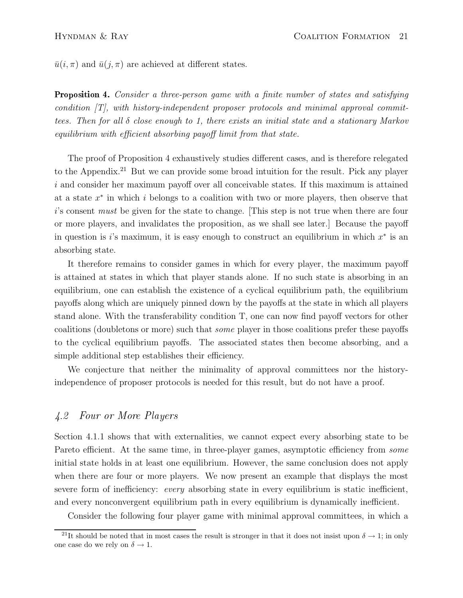$\bar{u}(i, \pi)$  and  $\bar{u}(i, \pi)$  are achieved at different states.

Proposition 4. Consider a three-person game with a finite number of states and satisfying condition  $[T]$ , with history-independent proposer protocols and minimal approval committees. Then for all  $\delta$  close enough to 1, there exists an initial state and a stationary Markov equilibrium with efficient absorbing payoff limit from that state.

The proof of Proposition 4 exhaustively studies different cases, and is therefore relegated to the Appendix.<sup>21</sup> But we can provide some broad intuition for the result. Pick any player i and consider her maximum payoff over all conceivable states. If this maximum is attained at a state  $x^*$  in which i belongs to a coalition with two or more players, then observe that i's consent must be given for the state to change. [This step is not true when there are four or more players, and invalidates the proposition, as we shall see later.] Because the payoff in question is i's maximum, it is easy enough to construct an equilibrium in which  $x^*$  is an absorbing state.

It therefore remains to consider games in which for every player, the maximum payoff is attained at states in which that player stands alone. If no such state is absorbing in an equilibrium, one can establish the existence of a cyclical equilibrium path, the equilibrium payoffs along which are uniquely pinned down by the payoffs at the state in which all players stand alone. With the transferability condition T, one can now find payoff vectors for other coalitions (doubletons or more) such that some player in those coalitions prefer these payoffs to the cyclical equilibrium payoffs. The associated states then become absorbing, and a simple additional step establishes their efficiency.

We conjecture that neither the minimality of approval committees nor the historyindependence of proposer protocols is needed for this result, but do not have a proof.

#### 4.2 Four or More Players

Section 4.1.1 shows that with externalities, we cannot expect every absorbing state to be Pareto efficient. At the same time, in three-player games, asymptotic efficiency from *some* initial state holds in at least one equilibrium. However, the same conclusion does not apply when there are four or more players. We now present an example that displays the most severe form of inefficiency: every absorbing state in every equilibrium is static inefficient, and every nonconvergent equilibrium path in every equilibrium is dynamically inefficient.

Consider the following four player game with minimal approval committees, in which a

<sup>&</sup>lt;sup>21</sup>It should be noted that in most cases the result is stronger in that it does not insist upon  $\delta \to 1$ ; in only one case do we rely on  $\delta \rightarrow 1$ .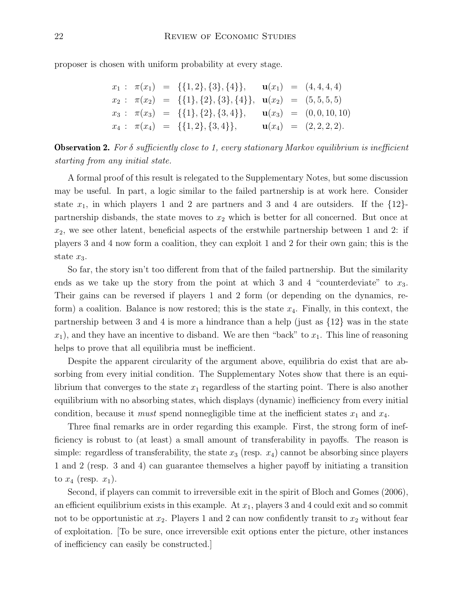proposer is chosen with uniform probability at every stage.

$$
x_1 : \pi(x_1) = \{\{1, 2\}, \{3\}, \{4\}\}, \quad \mathbf{u}(x_1) = (4, 4, 4, 4)
$$
  
\n
$$
x_2 : \pi(x_2) = \{\{1\}, \{2\}, \{3\}, \{4\}\}, \quad \mathbf{u}(x_2) = (5, 5, 5, 5)
$$
  
\n
$$
x_3 : \pi(x_3) = \{\{1\}, \{2\}, \{3, 4\}\}, \quad \mathbf{u}(x_3) = (0, 0, 10, 10)
$$
  
\n
$$
x_4 : \pi(x_4) = \{\{1, 2\}, \{3, 4\}\}, \quad \mathbf{u}(x_4) = (2, 2, 2, 2).
$$

**Observation 2.** For  $\delta$  sufficiently close to 1, every stationary Markov equilibrium is inefficient starting from any initial state.

A formal proof of this result is relegated to the Supplementary Notes, but some discussion may be useful. In part, a logic similar to the failed partnership is at work here. Consider state  $x_1$ , in which players 1 and 2 are partners and 3 and 4 are outsiders. If the  $\{12\}$ partnership disbands, the state moves to  $x_2$  which is better for all concerned. But once at  $x_2$ , we see other latent, beneficial aspects of the erstwhile partnership between 1 and 2: if players 3 and 4 now form a coalition, they can exploit 1 and 2 for their own gain; this is the state  $x_3$ .

So far, the story isn't too different from that of the failed partnership. But the similarity ends as we take up the story from the point at which 3 and 4 "counterdeviate" to  $x_3$ . Their gains can be reversed if players 1 and 2 form (or depending on the dynamics, reform) a coalition. Balance is now restored; this is the state  $x_4$ . Finally, in this context, the partnership between 3 and 4 is more a hindrance than a help (just as  $\{12\}$ ) was in the state  $x_1$ , and they have an incentive to disband. We are then "back" to  $x_1$ . This line of reasoning helps to prove that all equilibria must be inefficient.

Despite the apparent circularity of the argument above, equilibria do exist that are absorbing from every initial condition. The Supplementary Notes show that there is an equilibrium that converges to the state  $x_1$  regardless of the starting point. There is also another equilibrium with no absorbing states, which displays (dynamic) inefficiency from every initial condition, because it *must* spend nonnegligible time at the inefficient states  $x_1$  and  $x_4$ .

Three final remarks are in order regarding this example. First, the strong form of inefficiency is robust to (at least) a small amount of transferability in payoffs. The reason is simple: regardless of transferability, the state  $x_3$  (resp.  $x_4$ ) cannot be absorbing since players 1 and 2 (resp. 3 and 4) can guarantee themselves a higher payoff by initiating a transition to  $x_4$  (resp.  $x_1$ ).

Second, if players can commit to irreversible exit in the spirit of Bloch and Gomes (2006), an efficient equilibrium exists in this example. At  $x_1$ , players 3 and 4 could exit and so commit not to be opportunistic at  $x_2$ . Players 1 and 2 can now confidently transit to  $x_2$  without fear of exploitation. [To be sure, once irreversible exit options enter the picture, other instances of inefficiency can easily be constructed.]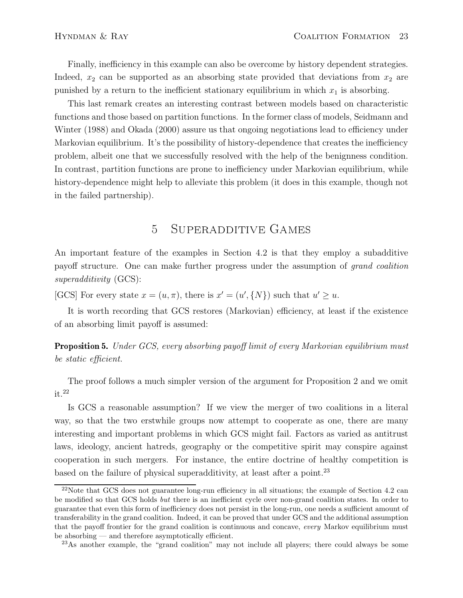Finally, inefficiency in this example can also be overcome by history dependent strategies. Indeed,  $x_2$  can be supported as an absorbing state provided that deviations from  $x_2$  are punished by a return to the inefficient stationary equilibrium in which  $x_1$  is absorbing.

This last remark creates an interesting contrast between models based on characteristic functions and those based on partition functions. In the former class of models, Seidmann and Winter (1988) and Okada (2000) assure us that ongoing negotiations lead to efficiency under Markovian equilibrium. It's the possibility of history-dependence that creates the inefficiency problem, albeit one that we successfully resolved with the help of the benignness condition. In contrast, partition functions are prone to inefficiency under Markovian equilibrium, while history-dependence might help to alleviate this problem (it does in this example, though not in the failed partnership).

## 5 Superadditive Games

An important feature of the examples in Section 4.2 is that they employ a subadditive payoff structure. One can make further progress under the assumption of grand coalition superadditivity (GCS):

[GCS] For every state  $x = (u, \pi)$ , there is  $x' = (u', \{N\})$  such that  $u' \ge u$ .

It is worth recording that GCS restores (Markovian) efficiency, at least if the existence of an absorbing limit payoff is assumed:

**Proposition 5.** Under GCS, every absorbing payoff limit of every Markovian equilibrium must be static efficient.

The proof follows a much simpler version of the argument for Proposition 2 and we omit it.<sup>22</sup>

Is GCS a reasonable assumption? If we view the merger of two coalitions in a literal way, so that the two erstwhile groups now attempt to cooperate as one, there are many interesting and important problems in which GCS might fail. Factors as varied as antitrust laws, ideology, ancient hatreds, geography or the competitive spirit may conspire against cooperation in such mergers. For instance, the entire doctrine of healthy competition is based on the failure of physical superadditivity, at least after a point.<sup>23</sup>

 $22\text{Note that GCS does not guarantee long-run efficiency in all situations; the example of Section 4.2 can$ be modified so that GCS holds but there is an inefficient cycle over non-grand coalition states. In order to guarantee that even this form of inefficiency does not persist in the long-run, one needs a sufficient amount of transferability in the grand coalition. Indeed, it can be proved that under GCS and the additional assumption that the payoff frontier for the grand coalition is continuous and concave, every Markov equilibrium must be absorbing — and therefore asymptotically efficient.

<sup>&</sup>lt;sup>23</sup>As another example, the "grand coalition" may not include all players; there could always be some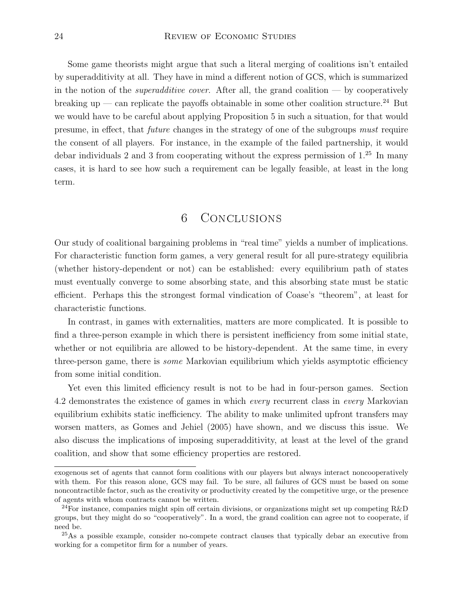Some game theorists might argue that such a literal merging of coalitions isn't entailed by superadditivity at all. They have in mind a different notion of GCS, which is summarized in the notion of the *superadditive cover*. After all, the grand coalition  $-$  by cooperatively breaking up — can replicate the payoffs obtainable in some other coalition structure.<sup>24</sup> But we would have to be careful about applying Proposition 5 in such a situation, for that would presume, in effect, that future changes in the strategy of one of the subgroups must require the consent of all players. For instance, in the example of the failed partnership, it would debar individuals 2 and 3 from cooperating without the express permission of 1.<sup>25</sup> In many cases, it is hard to see how such a requirement can be legally feasible, at least in the long term.

## 6 CONCLUSIONS

Our study of coalitional bargaining problems in "real time" yields a number of implications. For characteristic function form games, a very general result for all pure-strategy equilibria (whether history-dependent or not) can be established: every equilibrium path of states must eventually converge to some absorbing state, and this absorbing state must be static efficient. Perhaps this the strongest formal vindication of Coase's "theorem", at least for characteristic functions.

In contrast, in games with externalities, matters are more complicated. It is possible to find a three-person example in which there is persistent inefficiency from some initial state, whether or not equilibria are allowed to be history-dependent. At the same time, in every three-person game, there is *some* Markovian equilibrium which yields asymptotic efficiency from some initial condition.

Yet even this limited efficiency result is not to be had in four-person games. Section 4.2 demonstrates the existence of games in which every recurrent class in every Markovian equilibrium exhibits static inefficiency. The ability to make unlimited upfront transfers may worsen matters, as Gomes and Jehiel (2005) have shown, and we discuss this issue. We also discuss the implications of imposing superadditivity, at least at the level of the grand coalition, and show that some efficiency properties are restored.

exogenous set of agents that cannot form coalitions with our players but always interact noncooperatively with them. For this reason alone, GCS may fail. To be sure, all failures of GCS must be based on some noncontractible factor, such as the creativity or productivity created by the competitive urge, or the presence of agents with whom contracts cannot be written.

<sup>&</sup>lt;sup>24</sup>For instance, companies might spin off certain divisions, or organizations might set up competing  $R\&D$ groups, but they might do so "cooperatively". In a word, the grand coalition can agree not to cooperate, if need be.

<sup>&</sup>lt;sup>25</sup>As a possible example, consider no-compete contract clauses that typically debar an executive from working for a competitor firm for a number of years.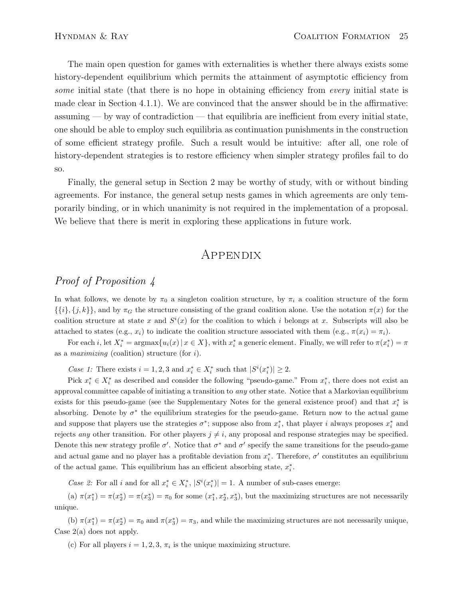The main open question for games with externalities is whether there always exists some history-dependent equilibrium which permits the attainment of asymptotic efficiency from some initial state (that there is no hope in obtaining efficiency from *every* initial state is made clear in Section 4.1.1). We are convinced that the answer should be in the affirmative: assuming — by way of contradiction — that equilibria are inefficient from every initial state, one should be able to employ such equilibria as continuation punishments in the construction of some efficient strategy profile. Such a result would be intuitive: after all, one role of history-dependent strategies is to restore efficiency when simpler strategy profiles fail to do so.

Finally, the general setup in Section 2 may be worthy of study, with or without binding agreements. For instance, the general setup nests games in which agreements are only temporarily binding, or in which unanimity is not required in the implementation of a proposal. We believe that there is merit in exploring these applications in future work.

### Appendix

### Proof of Proposition 4

In what follows, we denote by  $\pi_0$  a singleton coalition structure, by  $\pi_i$  a coalition structure of the form  $\{\{i\},\{j,k\}\}\$ , and by  $\pi_G$  the structure consisting of the grand coalition alone. Use the notation  $\pi(x)$  for the coalition structure at state x and  $S^{i}(x)$  for the coalition to which i belongs at x. Subscripts will also be attached to states (e.g.,  $x_i$ ) to indicate the coalition structure associated with them (e.g.,  $\pi(x_i) = \pi_i$ ).

For each i, let  $X_i^* = \text{argmax}\{u_i(x) | x \in X\}$ , with  $x_i^*$  a generic element. Finally, we will refer to  $\pi(x_i^*) = \pi$ as a *maximizing* (coalition) structure (for  $i$ ).

Case 1: There exists  $i = 1, 2, 3$  and  $x_i^* \in X_i^*$  such that  $|S^i(x_i^*)| \geq 2$ .

Pick  $x_i^* \in X_i^*$  as described and consider the following "pseudo-game." From  $x_i^*$ , there does not exist an approval committee capable of initiating a transition to any other state. Notice that a Markovian equilibrium exists for this pseudo-game (see the Supplementary Notes for the general existence proof) and that  $x_i^*$  is absorbing. Denote by  $\sigma^*$  the equilibrium strategies for the pseudo-game. Return now to the actual game and suppose that players use the strategies  $\sigma^*$ ; suppose also from  $x_i^*$ , that player i always proposes  $x_i^*$  and rejects any other transition. For other players  $j \neq i$ , any proposal and response strategies may be specified. Denote this new strategy profile  $\sigma'$ . Notice that  $\sigma^*$  and  $\sigma'$  specify the same transitions for the pseudo-game and actual game and no player has a profitable deviation from  $x_i^*$ . Therefore,  $\sigma'$  constitutes an equilibrium of the actual game. This equilibrium has an efficient absorbing state,  $x_i^*$ .

Case 2: For all i and for all  $x_i^* \in X_i^*$ ,  $|S^i(x_i^*)| = 1$ . A number of sub-cases emerge:

(a)  $\pi(x_1^*) = \pi(x_2^*) = \pi(x_3^*) = \pi_0$  for some  $(x_1^*, x_2^*, x_3^*)$ , but the maximizing structures are not necessarily unique.

(b)  $\pi(x_1^*) = \pi(x_2^*) = \pi_0$  and  $\pi(x_3^*) = \pi_3$ , and while the maximizing structures are not necessarily unique, Case  $2(a)$  does not apply.

(c) For all players  $i = 1, 2, 3, \pi_i$  is the unique maximizing structure.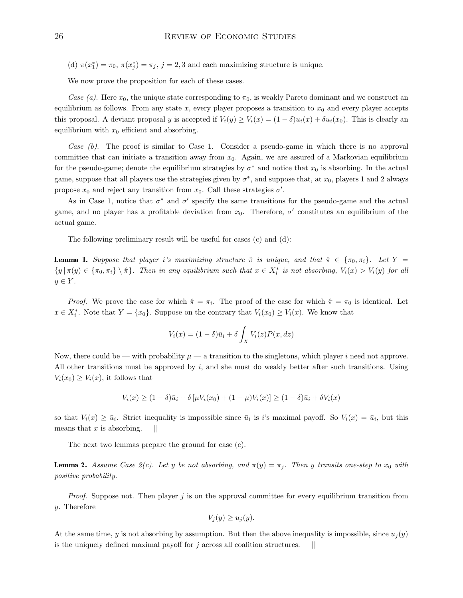(d)  $\pi(x_1^*) = \pi_0$ ,  $\pi(x_j^*) = \pi_j$ ,  $j = 2, 3$  and each maximizing structure is unique.

We now prove the proposition for each of these cases.

Case (a). Here  $x_0$ , the unique state corresponding to  $\pi_0$ , is weakly Pareto dominant and we construct an equilibrium as follows. From any state x, every player proposes a transition to  $x_0$  and every player accepts this proposal. A deviant proposal y is accepted if  $V_i(y) \ge V_i(x) = (1 - \delta)u_i(x) + \delta u_i(x_0)$ . This is clearly an equilibrium with  $x_0$  efficient and absorbing.

Case  $(b)$ . The proof is similar to Case 1. Consider a pseudo-game in which there is no approval committee that can initiate a transition away from  $x_0$ . Again, we are assured of a Markovian equilibrium for the pseudo-game; denote the equilibrium strategies by  $\sigma^*$  and notice that  $x_0$  is absorbing. In the actual game, suppose that all players use the strategies given by  $\sigma^*$ , and suppose that, at  $x_0$ , players 1 and 2 always propose  $x_0$  and reject any transition from  $x_0$ . Call these strategies  $\sigma'$ .

As in Case 1, notice that  $\sigma^*$  and  $\sigma'$  specify the same transitions for the pseudo-game and the actual game, and no player has a profitable deviation from  $x_0$ . Therefore,  $\sigma'$  constitutes an equilibrium of the actual game.

The following preliminary result will be useful for cases (c) and (d):

**Lemma 1.** Suppose that player i's maximizing structure  $\hat{\pi}$  is unique, and that  $\hat{\pi} \in {\pi_0, \pi_i}$ . Let Y =  $\{y \mid \pi(y) \in \{\pi_0, \pi_i\} \setminus \hat{\pi}\}.$  Then in any equilibrium such that  $x \in X_i^*$  is not absorbing,  $V_i(x) > V_i(y)$  for all  $y \in Y$ .

*Proof.* We prove the case for which  $\hat{\pi} = \pi_i$ . The proof of the case for which  $\hat{\pi} = \pi_0$  is identical. Let  $x \in X_i^*$ . Note that  $Y = \{x_0\}$ . Suppose on the contrary that  $V_i(x_0) \ge V_i(x)$ . We know that

$$
V_i(x) = (1 - \delta)\bar{u}_i + \delta \int_X V_i(z)P(x, dz)
$$

Now, there could be — with probability  $\mu$  — a transition to the singletons, which player i need not approve. All other transitions must be approved by  $i$ , and she must do weakly better after such transitions. Using  $V_i(x_0) \geq V_i(x)$ , it follows that

$$
V_i(x) \ge (1 - \delta)\bar{u}_i + \delta \left[ \mu V_i(x_0) + (1 - \mu)V_i(x) \right] \ge (1 - \delta)\bar{u}_i + \delta V_i(x)
$$

so that  $V_i(x) \ge \bar{u}_i$ . Strict inequality is impossible since  $\bar{u}_i$  is *i*'s maximal payoff. So  $V_i(x) = \bar{u}_i$ , but this means that  $x$  is absorbing.  $||$ 

The next two lemmas prepare the ground for case (c).

**Lemma 2.** Assume Case  $2(c)$ . Let y be not absorbing, and  $\pi(y) = \pi_j$ . Then y transits one-step to  $x_0$  with positive probability.

*Proof.* Suppose not. Then player j is on the approval committee for every equilibrium transition from y. Therefore

$$
V_j(y) \ge u_j(y).
$$

At the same time, y is not absorbing by assumption. But then the above inequality is impossible, since  $u_i(y)$ is the uniquely defined maximal payoff for  $j$  across all coalition structures.  $||$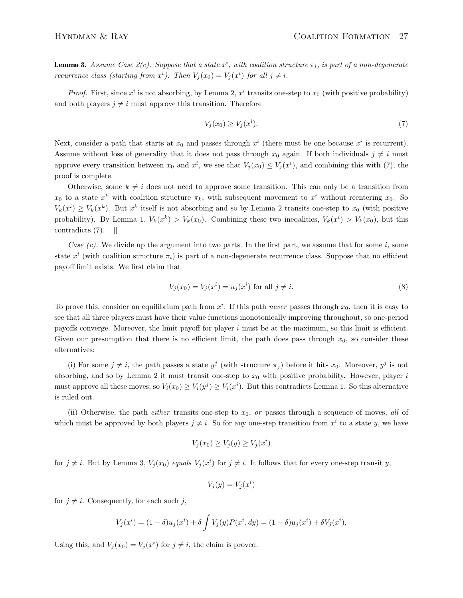**Lemma 3.** Assume Case  $2(c)$ . Suppose that a state  $x^i$ , with coalition structure  $\pi_i$ , is part of a non-degenerate recurrence class (starting from  $x^i$ ). Then  $V_j(x_0) = V_j(x^i)$  for all  $j \neq i$ .

*Proof.* First, since  $x^i$  is not absorbing, by Lemma 2,  $x^i$  transits one-step to  $x_0$  (with positive probability) and both players  $j \neq i$  must approve this transition. Therefore

$$
V_j(x_0) \ge V_j(x^i). \tag{7}
$$

Next, consider a path that starts at  $x_0$  and passes through  $x^i$  (there must be one because  $x^i$  is recurrent). Assume without loss of generality that it does not pass through  $x_0$  again. If both individuals  $j \neq i$  must approve every transition between  $x_0$  and  $x^i$ , we see that  $V_j(x_0) \leq V_j(x^i)$ , and combining this with (7), the proof is complete.

Otherwise, some  $k \neq i$  does not need to approve some transition. This can only be a transition from  $x_0$  to a state  $x^k$  with coalition structure  $\pi_k$ , with subsequent movement to  $x^i$  without reentering  $x_0$ . So  $V_k(x^i) \geq V_k(x^k)$ . But  $x^k$  itself is not absorbing and so by Lemma 2 transits one-step to  $x_0$  (with positive probability). By Lemma 1,  $V_k(x^k) > V_k(x_0)$ . Combining these two inequalities,  $V_k(x^i) > V_k(x_0)$ , but this contradicts (7). ||

Case  $(c)$ . We divide up the argument into two parts. In the first part, we assume that for some i, some state  $x^i$  (with coalition structure  $\pi_i$ ) is part of a non-degenerate recurrence class. Suppose that no efficient payoff limit exists. We first claim that

$$
V_j(x_0) = V_j(x^i) = u_j(x^i) \text{ for all } j \neq i.
$$
\n
$$
(8)
$$

To prove this, consider an equilibrium path from  $x^i$ . If this path never passes through  $x_0$ , then it is easy to see that all three players must have their value functions monotonically improving throughout, so one-period payoffs converge. Moreover, the limit payoff for player i must be at the maximum, so this limit is efficient. Given our presumption that there is no efficient limit, the path does pass through  $x_0$ , so consider these alternatives:

(i) For some  $j \neq i$ , the path passes a state  $y^j$  (with structure  $\pi_j$ ) before it hits  $x_0$ . Moreover,  $y^j$  is not absorbing, and so by Lemma 2 it must transit one-step to  $x_0$  with positive probability. However, player is must approve all these moves; so  $V_i(x_0) \ge V_i(y^j) \ge V_i(x^i)$ . But this contradicts Lemma 1. So this alternative is ruled out.

(ii) Otherwise, the path *either* transits one-step to  $x_0$ , or passes through a sequence of moves, all of which must be approved by both players  $j \neq i$ . So for any one-step transition from  $x^i$  to a state y, we have

$$
V_j(x_0) \ge V_j(y) \ge V_j(x^i)
$$

for  $j \neq i$ . But by Lemma 3,  $V_j(x_0)$  equals  $V_j(x^i)$  for  $j \neq i$ . It follows that for every one-step transit y,

$$
V_j(y) = V_j(x^i)
$$

for  $j \neq i$ . Consequently, for each such j,

$$
V_j(x^i) = (1 - \delta)u_j(x^i) + \delta \int V_j(y)P(x^i, dy) = (1 - \delta)u_j(x^i) + \delta V_j(x^i),
$$

Using this, and  $V_j(x_0) = V_j(x^i)$  for  $j \neq i$ , the claim is proved.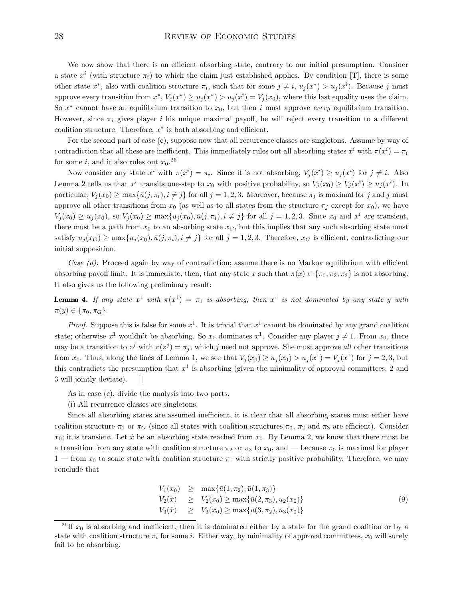We now show that there is an efficient absorbing state, contrary to our initial presumption. Consider a state  $x^i$  (with structure  $\pi_i$ ) to which the claim just established applies. By condition [T], there is some other state  $x^*$ , also with coalition structure  $\pi_i$ , such that for some  $j \neq i$ ,  $u_j(x^*) > u_j(x^i)$ . Because j must approve every transition from  $x^*$ ,  $V_j(x^*) \ge u_j(x^*) > u_j(x^*) = V_j(x_0)$ , where this last equality uses the claim. So  $x^*$  cannot have an equilibrium transition to  $x_0$ , but then i must approve every equilibrium transition. However, since  $\pi_i$  gives player i his unique maximal payoff, he will reject every transition to a different coalition structure. Therefore,  $x^*$  is both absorbing and efficient.

For the second part of case (c), suppose now that all recurrence classes are singletons. Assume by way of contradiction that all these are inefficient. This immediately rules out all absorbing states  $x^i$  with  $\pi(x^i) = \pi_i$ for some *i*, and it also rules out  $x_0$ <sup>26</sup>

Now consider any state  $x^i$  with  $\pi(x^i) = \pi_i$ . Since it is not absorbing,  $V_j(x^i) \ge u_j(x^i)$  for  $j \ne i$ . Also Lemma 2 tells us that  $x^i$  transits one-step to  $x_0$  with positive probability, so  $V_j(x_0) \ge V_j(x^i) \ge u_j(x^i)$ . In particular,  $V_j(x_0) \ge \max\{\bar{u}(j,\pi_i), i \ne j\}$  for all  $j = 1, 2, 3$ . Moreover, because  $\pi_j$  is maximal for j and j must approve all other transitions from  $x_0$  (as well as to all states from the structure  $\pi_j$  except for  $x_0$ ), we have  $V_j(x_0) \ge u_j(x_0)$ , so  $V_j(x_0) \ge \max\{u_j(x_0), \bar{u}(j, \pi_i), i \ne j\}$  for all  $j = 1, 2, 3$ . Since  $x_0$  and  $x^i$  are transient, there must be a path from  $x_0$  to an absorbing state  $x_G$ , but this implies that any such absorbing state must satisfy  $u_i(x_G) \ge \max\{u_i(x_0), \bar{u}(j, \pi_i), i \neq j\}$  for all  $j = 1, 2, 3$ . Therefore,  $x_G$  is efficient, contradicting our initial supposition.

Case  $(d)$ . Proceed again by way of contradiction; assume there is no Markov equilibrium with efficient absorbing payoff limit. It is immediate, then, that any state x such that  $\pi(x) \in {\pi_0, \pi_2, \pi_3}$  is not absorbing. It also gives us the following preliminary result:

**Lemma 4.** If any state  $x^1$  with  $\pi(x^1) = \pi_1$  is absorbing, then  $x^1$  is not dominated by any state y with  $\pi(y) \in {\pi_0, \pi_G}.$ 

*Proof.* Suppose this is false for some  $x^1$ . It is trivial that  $x^1$  cannot be dominated by any grand coalition state; otherwise  $x^1$  wouldn't be absorbing. So  $x_0$  dominates  $x^1$ . Consider any player  $j \neq 1$ . From  $x_0$ , there may be a transition to  $z^j$  with  $\pi(z^j) = \pi_j$ , which j need not approve. She must approve all other transitions from  $x_0$ . Thus, along the lines of Lemma 1, we see that  $V_j(x_0) \ge u_j(x_0) > u_j(x^1) = V_j(x^1)$  for  $j = 2, 3$ , but this contradicts the presumption that  $x^1$  is absorbing (given the minimality of approval committees, 2 and 3 will jointly deviate). ||

As in case (c), divide the analysis into two parts.

(i) All recurrence classes are singletons.

Since all absorbing states are assumed inefficient, it is clear that all absorbing states must either have coalition structure  $\pi_1$  or  $\pi_G$  (since all states with coalition structures  $\pi_0$ ,  $\pi_2$  and  $\pi_3$  are efficient). Consider  $x_0$ ; it is transient. Let  $\hat{x}$  be an absorbing state reached from  $x_0$ . By Lemma 2, we know that there must be a transition from any state with coalition structure  $\pi_2$  or  $\pi_3$  to  $x_0$ , and — because  $\pi_0$  is maximal for player  $1$  — from  $x_0$  to some state with coalition structure  $\pi_1$  with strictly positive probability. Therefore, we may conclude that

$$
V_1(x_0) \geq \max\{\bar{u}(1, \pi_2), \bar{u}(1, \pi_3)\}
$$
  
\n
$$
V_2(\hat{x}) \geq V_2(x_0) \geq \max\{\bar{u}(2, \pi_3), u_2(x_0)\}
$$
  
\n
$$
V_3(\hat{x}) \geq V_3(x_0) \geq \max\{\bar{u}(3, \pi_2), u_3(x_0)\}
$$
\n(9)

<sup>&</sup>lt;sup>26</sup>If  $x_0$  is absorbing and inefficient, then it is dominated either by a state for the grand coalition or by a state with coalition structure  $\pi_i$  for some i. Either way, by minimality of approval committees,  $x_0$  will surely fail to be absorbing.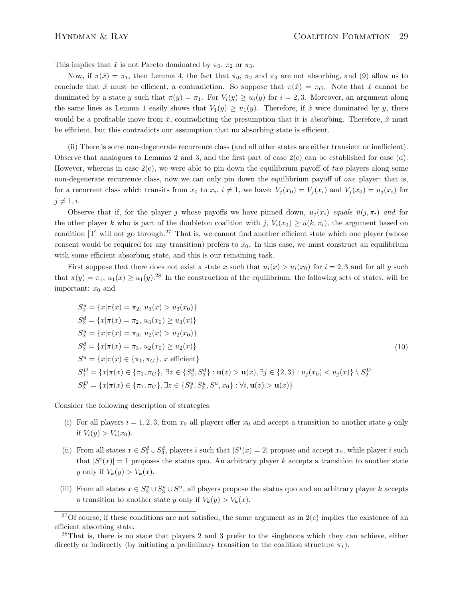This implies that  $\hat{x}$  is not Pareto dominated by  $\pi_0$ ,  $\pi_2$  or  $\pi_3$ .

Now, if  $\pi(\hat{x}) = \pi_1$ , then Lemma 4, the fact that  $\pi_0$ ,  $\pi_2$  and  $\pi_3$  are not absorbing, and (9) allow us to conclude that  $\hat{x}$  must be efficient, a contradiction. So suppose that  $\pi(\hat{x}) = \pi_G$ . Note that  $\hat{x}$  cannot be dominated by a state y such that  $\pi(y) = \pi_1$ . For  $V_i(y) \ge u_i(y)$  for  $i = 2, 3$ . Moreover, an argument along the same lines as Lemma 1 easily shows that  $V_1(y) \geq u_1(y)$ . Therefore, if  $\hat{x}$  were dominated by y, there would be a profitable move from  $\hat{x}$ , contradicting the presumption that it is absorbing. Therefore,  $\hat{x}$  must be efficient, but this contradicts our assumption that no absorbing state is efficient. ||

(ii) There is some non-degenerate recurrence class (and all other states are either transient or inefficient). Observe that analogues to Lemmas 2 and 3, and the first part of case  $2(c)$  can be established for case (d). However, whereas in case  $2(c)$ , we were able to pin down the equilibrium payoff of two players along some non-degenerate recurrence class, now we can only pin down the equilibrium payoff of one player; that is, for a recurrent class which transits from  $x_0$  to  $x_i$ ,  $i \neq 1$ , we have:  $V_j(x_0) = V_j(x_i)$  and  $V_j(x_0) = u_j(x_i)$  for  $j \neq 1, i.$ 

Observe that if, for the player j whose payoffs we have pinned down,  $u_i(x_i)$  equals  $\bar{u}(j, \pi_i)$  and for the other player k who is part of the doubleton coalition with j,  $V_i(x_0) \geq \bar{u}(k, \pi_i)$ , the argument based on condition  $[T]$  will not go through.<sup>27</sup> That is, we cannot find another efficient state which one player (whose consent would be required for any transition) prefers to  $x<sub>0</sub>$ . In this case, we must construct an equilibrium with some efficient absorbing state, and this is our remaining task.

First suppose that there does not exist a state x such that  $u_i(x) > u_i(x_0)$  for  $i = 2, 3$  and for all y such that  $\pi(y) = \pi_1$ ,  $u_1(x) \ge u_1(y)$ .<sup>28</sup> In the construction of the equilibrium, the following sets of states, will be important:  $x_0$  and

$$
S_2^u = \{x | \pi(x) = \pi_2, u_3(x) > u_3(x_0) \}
$$
  
\n
$$
S_2^d = \{x | \pi(x) = \pi_2, u_3(x_0) \ge u_3(x) \}
$$
  
\n
$$
S_3^u = \{x | \pi(x) = \pi_3, u_2(x) > u_2(x_0) \}
$$
  
\n
$$
S_3^d = \{x | \pi(x) = \pi_3, u_2(x_0) \ge u_2(x) \}
$$
  
\n
$$
S^u = \{x | \pi(x) \in \{\pi_1, \pi_G\}, x \text{ efficient} \}
$$
  
\n
$$
S_1^D = \{x | \pi(x) \in \{\pi_1, \pi_G\}, \exists z \in \{S_2^d, S_3^d\} : \mathbf{u}(z) > \mathbf{u}(x), \exists j \in \{2, 3\} : u_j(x_0) < u_j(x) \} \setminus S_2^D
$$
  
\n
$$
S_2^D = \{x | \pi(x) \in \{\pi_1, \pi_G\}, \exists z \in \{S_2^u, S_3^u, S^u, x_0\} : \forall i, \mathbf{u}(z) > \mathbf{u}(x) \}
$$
\n(10)

Consider the following description of strategies:

- (i) For all players  $i = 1, 2, 3$ , from  $x_0$  all players offer  $x_0$  and accept a transition to another state y only if  $V_i(y) > V_i(x_0)$ .
- (ii) From all states  $x \in S_2^d \cup S_3^d$ , players i such that  $|S^i(x)| = 2$  propose and accept  $x_0$ , while player i such that  $|S^i(x)| = 1$  proposes the status quo. An arbitrary player k accepts a transition to another state y only if  $V_k(y) > V_k(x)$ .
- (iii) From all states  $x \in S_2^u \cup S_3^u \cup S^u$ , all players propose the status quo and an arbitrary player k accepts a transition to another state y only if  $V_k(y) > V_k(x)$ .

<sup>&</sup>lt;sup>27</sup>Of course, if these conditions are not satisfied, the same argument as in  $2(c)$  implies the existence of an efficient absorbing state.

<sup>&</sup>lt;sup>28</sup>That is, there is no state that players 2 and 3 prefer to the singletons which they can achieve, either directly or indirectly (by initiating a preliminary transition to the coalition structure  $\pi_1$ ).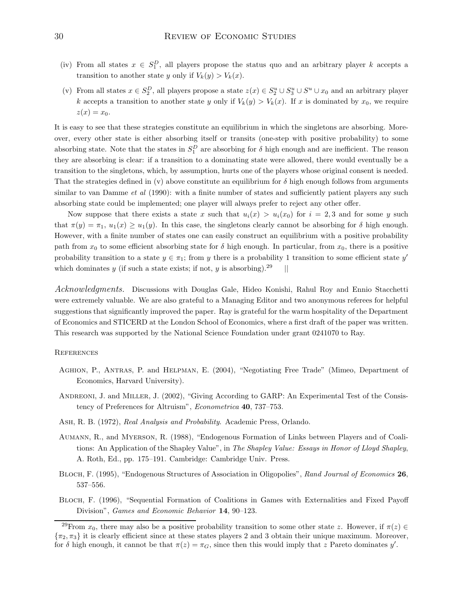- (iv) From all states  $x \in S_1^D$ , all players propose the status quo and an arbitrary player k accepts a transition to another state y only if  $V_k(y) > V_k(x)$ .
- (v) From all states  $x \in S_2^D$ , all players propose a state  $z(x) \in S_2^u \cup S_3^u \cup S^u \cup x_0$  and an arbitrary player k accepts a transition to another state y only if  $V_k(y) > V_k(x)$ . If x is dominated by  $x_0$ , we require  $z(x) = x_0.$

It is easy to see that these strategies constitute an equilibrium in which the singletons are absorbing. Moreover, every other state is either absorbing itself or transits (one-step with positive probability) to some absorbing state. Note that the states in  $S_1^D$  are absorbing for  $\delta$  high enough and are inefficient. The reason they are absorbing is clear: if a transition to a dominating state were allowed, there would eventually be a transition to the singletons, which, by assumption, hurts one of the players whose original consent is needed. That the strategies defined in (v) above constitute an equilibrium for  $\delta$  high enough follows from arguments similar to van Damme *et al* (1990): with a finite number of states and sufficiently patient players any such absorbing state could be implemented; one player will always prefer to reject any other offer.

Now suppose that there exists a state x such that  $u_i(x) > u_i(x_0)$  for  $i = 2, 3$  and for some y such that  $\pi(y) = \pi_1$ ,  $u_1(x) \ge u_1(y)$ . In this case, the singletons clearly cannot be absorbing for  $\delta$  high enough. However, with a finite number of states one can easily construct an equilibrium with a positive probability path from  $x_0$  to some efficient absorbing state for  $\delta$  high enough. In particular, from  $x_0$ , there is a positive probability transition to a state  $y \in \pi_1$ ; from y there is a probability 1 transition to some efficient state y' which dominates y (if such a state exists; if not, y is absorbing).<sup>29</sup> ||

Acknowledgments. Discussions with Douglas Gale, Hideo Konishi, Rahul Roy and Ennio Stacchetti were extremely valuable. We are also grateful to a Managing Editor and two anonymous referees for helpful suggestions that significantly improved the paper. Ray is grateful for the warm hospitality of the Department of Economics and STICERD at the London School of Economics, where a first draft of the paper was written. This research was supported by the National Science Foundation under grant 0241070 to Ray.

#### **REFERENCES**

- Aghion, P., Antras, P. and Helpman, E. (2004), "Negotiating Free Trade" (Mimeo, Department of Economics, Harvard University).
- ANDREONI, J. and MILLER, J. (2002), "Giving According to GARP: An Experimental Test of the Consistency of Preferences for Altruism", *Econometrica* 40, 737-753.
- ASH, R. B. (1972), Real Analysis and Probability. Academic Press, Orlando.
- Aumann, R., and Myerson, R. (1988), "Endogenous Formation of Links between Players and of Coalitions: An Application of the Shapley Value", in The Shapley Value: Essays in Honor of Lloyd Shapley, A. Roth, Ed., pp. 175–191. Cambridge: Cambridge Univ. Press.
- BLOCH, F. (1995), "Endogenous Structures of Association in Oligopolies", Rand Journal of Economics 26, 537–556.
- Bloch, F. (1996), "Sequential Formation of Coalitions in Games with Externalities and Fixed Payoff Division", Games and Economic Behavior 14, 90–123.

<sup>&</sup>lt;sup>29</sup>From  $x_0$ , there may also be a positive probability transition to some other state z. However, if  $\pi(z) \in$  $\{\pi_2, \pi_3\}$  it is clearly efficient since at these states players 2 and 3 obtain their unique maximum. Moreover, for  $\delta$  high enough, it cannot be that  $\pi(z) = \pi_G$ , since then this would imply that z Pareto dominates y'.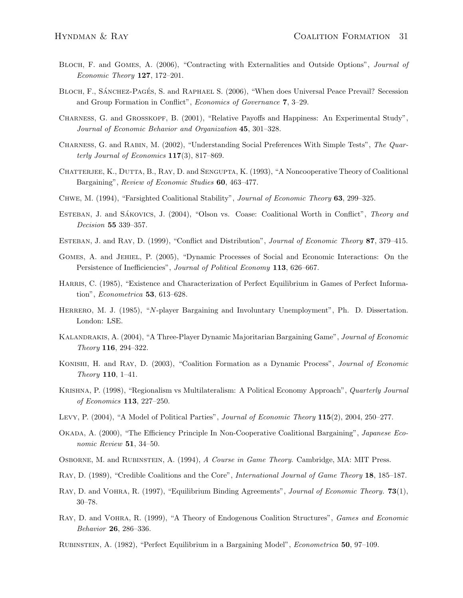- Bloch, F. and Gomes, A. (2006), "Contracting with Externalities and Outside Options", Journal of Economic Theory 127, 172–201.
- BLOCH, F., SÁNCHEZ-PAGÉS, S. and RAPHAEL S. (2006), "When does Universal Peace Prevail? Secession and Group Formation in Conflict", Economics of Governance 7, 3–29.
- Charness, G. and Grosskopf, B. (2001), "Relative Payoffs and Happiness: An Experimental Study", Journal of Economic Behavior and Organization 45, 301–328.
- Charness, G. and Rabin, M. (2002), "Understanding Social Preferences With Simple Tests", The Quarterly Journal of Economics  $117(3)$ , 817-869.
- CHATTERJEE, K., DUTTA, B., RAY, D. and SENGUPTA, K. (1993), "A Noncooperative Theory of Coalitional Bargaining", Review of Economic Studies 60, 463–477.
- Chwe, M. (1994), "Farsighted Coalitional Stability", Journal of Economic Theory 63, 299–325.
- ESTEBAN, J. and SÁKOVICS, J. (2004), "Olson vs. Coase: Coalitional Worth in Conflict", Theory and Decision 55 339–357.
- ESTEBAN, J. and RAY, D. (1999), "Conflict and Distribution", Journal of Economic Theory 87, 379–415.
- Gomes, A. and Jehiel, P. (2005), "Dynamic Processes of Social and Economic Interactions: On the Persistence of Inefficiencies", Journal of Political Economy 113, 626-667.
- HARRIS, C. (1985), "Existence and Characterization of Perfect Equilibrium in Games of Perfect Information", Econometrica 53, 613–628.
- HERRERO, M. J. (1985), "N-player Bargaining and Involuntary Unemployment", Ph. D. Dissertation. London: LSE.
- KALANDRAKIS, A. (2004), "A Three-Player Dynamic Majoritarian Bargaining Game", Journal of Economic Theory 116, 294–322.
- Konishi, H. and Ray, D. (2003), "Coalition Formation as a Dynamic Process", Journal of Economic Theory 110, 1–41.
- Krishna, P. (1998), "Regionalism vs Multilateralism: A Political Economy Approach", Quarterly Journal of Economics 113, 227–250.
- Levy, P. (2004), "A Model of Political Parties", Journal of Economic Theory 115(2), 2004, 250–277.
- Okada, A. (2000), "The Efficiency Principle In Non-Cooperative Coalitional Bargaining", Japanese Economic Review **51**, 34-50.
- Osborne, M. and Rubinstein, A. (1994), A Course in Game Theory. Cambridge, MA: MIT Press.
- Ray, D. (1989), "Credible Coalitions and the Core", International Journal of Game Theory 18, 185–187.
- RAY, D. and VOHRA, R. (1997), "Equilibrium Binding Agreements", Journal of Economic Theory. 73(1), 30–78.
- Ray, D. and Vohra, R. (1999), "A Theory of Endogenous Coalition Structures", Games and Economic Behavior 26, 286–336.
- Rubinstein, A. (1982), "Perfect Equilibrium in a Bargaining Model", Econometrica 50, 97–109.